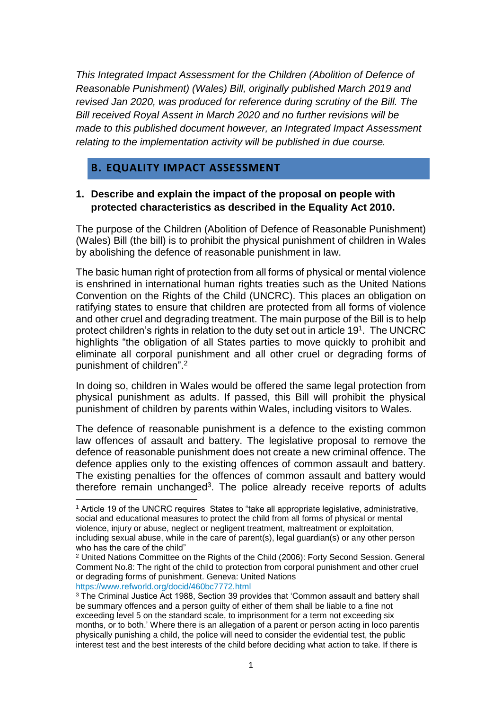*This Integrated Impact Assessment for the Children (Abolition of Defence of Reasonable Punishment) (Wales) Bill, originally published March 2019 and revised Jan 2020, was produced for reference during scrutiny of the Bill. The Bill received Royal Assent in March 2020 and no further revisions will be made to this published document however, an Integrated Impact Assessment relating to the implementation activity will be published in due course.*

### **B. EQUALITY IMPACT ASSESSMENT**

**.** 

### **1. Describe and explain the impact of the proposal on people with protected characteristics as described in the Equality Act 2010.**

The purpose of the Children (Abolition of Defence of Reasonable Punishment) (Wales) Bill (the bill) is to prohibit the physical punishment of children in Wales by abolishing the defence of reasonable punishment in law.

The basic human right of protection from all forms of physical or mental violence is enshrined in international human rights treaties such as the United Nations Convention on the Rights of the Child (UNCRC). This places an obligation on ratifying states to ensure that children are protected from all forms of violence and other cruel and degrading treatment. The main purpose of the Bill is to help protect children's rights in relation to the duty set out in article  $19<sup>1</sup>$ . The UNCRC highlights "the obligation of all States parties to move quickly to prohibit and eliminate all corporal punishment and all other cruel or degrading forms of punishment of children".<sup>2</sup>

In doing so, children in Wales would be offered the same legal protection from physical punishment as adults. If passed, this Bill will prohibit the physical punishment of children by parents within Wales, including visitors to Wales.

The defence of reasonable punishment is a defence to the existing common law offences of assault and battery. The legislative proposal to remove the defence of reasonable punishment does not create a new criminal offence. The defence applies only to the existing offences of common assault and battery. The existing penalties for the offences of common assault and battery would therefore remain unchanged<sup>3</sup>. The police already receive reports of adults

<sup>1</sup> Article 19 of the UNCRC requires States to "take all appropriate legislative, administrative, social and educational measures to protect the child from all forms of physical or mental violence, injury or abuse, neglect or negligent treatment, maltreatment or exploitation, including sexual abuse, while in the care of parent(s), legal guardian(s) or any other person who has the care of the child"

<sup>2</sup> United Nations Committee on the Rights of the Child (2006): Forty Second Session. General Comment No.8: The right of the child to protection from corporal punishment and other cruel or degrading forms of punishment. Geneva: United Nations <https://www.refworld.org/docid/460bc7772.html>

<sup>3</sup> The Criminal Justice Act 1988, Section 39 provides that 'Common assault and battery shall be summary offences and a person guilty of either of them shall be liable to a fine not exceeding level 5 on the standard scale, to imprisonment for a term not exceeding six months, or to both.' Where there is an allegation of a parent or person acting in loco parentis physically punishing a child, the police will need to consider the evidential test, the public interest test and the best interests of the child before deciding what action to take. If there is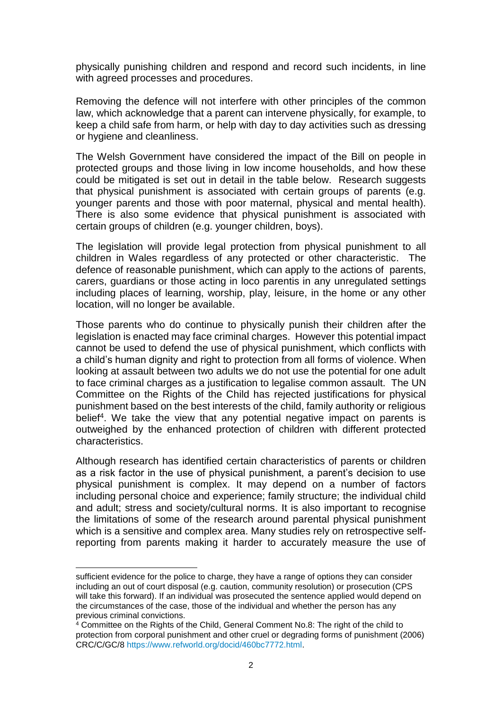physically punishing children and respond and record such incidents, in line with agreed processes and procedures.

Removing the defence will not interfere with other principles of the common law, which acknowledge that a parent can intervene physically, for example, to keep a child safe from harm, or help with day to day activities such as dressing or hygiene and cleanliness.

The Welsh Government have considered the impact of the Bill on people in protected groups and those living in low income households, and how these could be mitigated is set out in detail in the table below. Research suggests that physical punishment is associated with certain groups of parents (e.g. younger parents and those with poor maternal, physical and mental health). There is also some evidence that physical punishment is associated with certain groups of children (e.g. younger children, boys).

The legislation will provide legal protection from physical punishment to all children in Wales regardless of any protected or other characteristic. The defence of reasonable punishment, which can apply to the actions of parents, carers, guardians or those acting in loco parentis in any unregulated settings including places of learning, worship, play, leisure, in the home or any other location, will no longer be available.

Those parents who do continue to physically punish their children after the legislation is enacted may face criminal charges. However this potential impact cannot be used to defend the use of physical punishment, which conflicts with a child's human dignity and right to protection from all forms of violence. When looking at assault between two adults we do not use the potential for one adult to face criminal charges as a justification to legalise common assault. The UN Committee on the Rights of the Child has rejected justifications for physical punishment based on the best interests of the child, family authority or religious belief<sup>4</sup>. We take the view that any potential negative impact on parents is outweighed by the enhanced protection of children with different protected characteristics.

Although research has identified certain characteristics of parents or children as a risk factor in the use of physical punishment, a parent's decision to use physical punishment is complex. It may depend on a number of factors including personal choice and experience; family structure; the individual child and adult; stress and society/cultural norms. It is also important to recognise the limitations of some of the research around parental physical punishment which is a sensitive and complex area. Many studies rely on retrospective selfreporting from parents making it harder to accurately measure the use of

sufficient evidence for the police to charge, they have a range of options they can consider including an out of court disposal (e.g. caution, community resolution) or prosecution (CPS will take this forward). If an individual was prosecuted the sentence applied would depend on the circumstances of the case, those of the individual and whether the person has any previous criminal convictions.

<sup>&</sup>lt;sup>4</sup> Committee on the Rights of the Child, General Comment No.8: The right of the child to protection from corporal punishment and other cruel or degrading forms of punishment (2006) CRC/C/GC/8 [https://www.refworld.org/docid/460bc7772.html.](https://www.refworld.org/docid/460bc7772.html)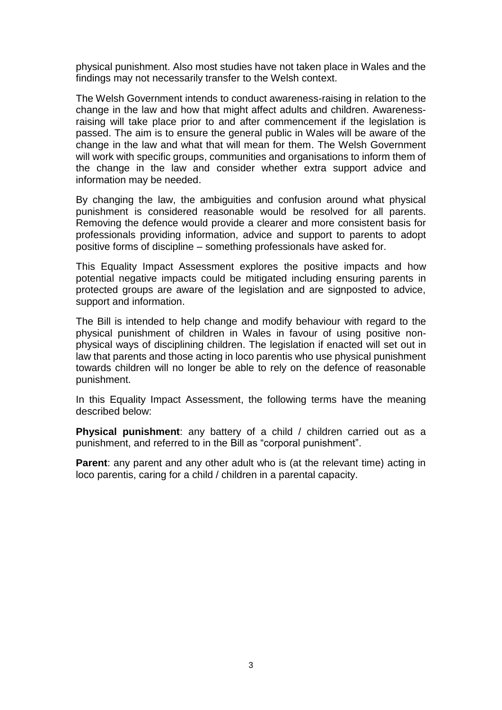physical punishment. Also most studies have not taken place in Wales and the findings may not necessarily transfer to the Welsh context.

The Welsh Government intends to conduct awareness-raising in relation to the change in the law and how that might affect adults and children. Awarenessraising will take place prior to and after commencement if the legislation is passed. The aim is to ensure the general public in Wales will be aware of the change in the law and what that will mean for them. The Welsh Government will work with specific groups, communities and organisations to inform them of the change in the law and consider whether extra support advice and information may be needed.

By changing the law, the ambiguities and confusion around what physical punishment is considered reasonable would be resolved for all parents. Removing the defence would provide a clearer and more consistent basis for professionals providing information, advice and support to parents to adopt positive forms of discipline – something professionals have asked for.

This Equality Impact Assessment explores the positive impacts and how potential negative impacts could be mitigated including ensuring parents in protected groups are aware of the legislation and are signposted to advice, support and information.

The Bill is intended to help change and modify behaviour with regard to the physical punishment of children in Wales in favour of using positive nonphysical ways of disciplining children. The legislation if enacted will set out in law that parents and those acting in loco parentis who use physical punishment towards children will no longer be able to rely on the defence of reasonable punishment.

In this Equality Impact Assessment, the following terms have the meaning described below:

**Physical punishment**: any battery of a child / children carried out as a punishment, and referred to in the Bill as "corporal punishment".

**Parent**: any parent and any other adult who is (at the relevant time) acting in loco parentis, caring for a child / children in a parental capacity.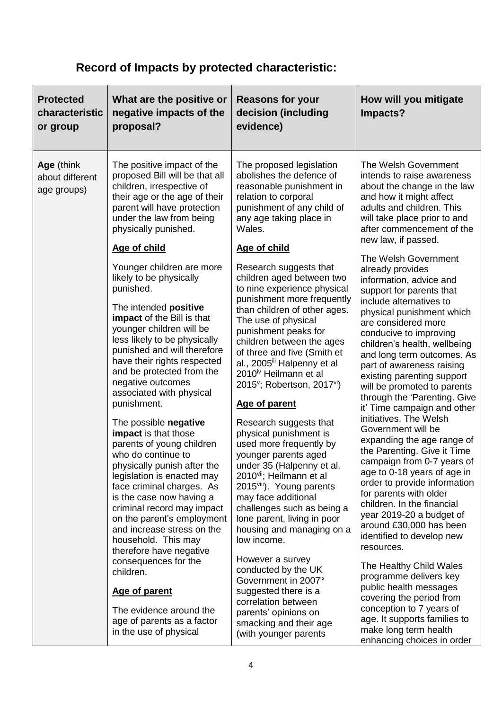# **Record of Impacts by protected characteristic:**

| <b>Protected</b><br>characteristic<br>or group | What are the positive or<br>negative impacts of the<br>proposal?                                                                                                                                                                                                                                                                                                   | <b>Reasons for your</b><br>decision (including<br>evidence)                                                                                                                                                                                                                                                                                                                                                        | How will you mitigate<br>Impacts?                                                                                                                                                                                                                                                                                                                                                                                               |
|------------------------------------------------|--------------------------------------------------------------------------------------------------------------------------------------------------------------------------------------------------------------------------------------------------------------------------------------------------------------------------------------------------------------------|--------------------------------------------------------------------------------------------------------------------------------------------------------------------------------------------------------------------------------------------------------------------------------------------------------------------------------------------------------------------------------------------------------------------|---------------------------------------------------------------------------------------------------------------------------------------------------------------------------------------------------------------------------------------------------------------------------------------------------------------------------------------------------------------------------------------------------------------------------------|
| Age (think<br>about different<br>age groups)   | The positive impact of the<br>proposed Bill will be that all<br>children, irrespective of<br>their age or the age of their<br>parent will have protection<br>under the law from being<br>physically punished.<br>Age of child                                                                                                                                      | The proposed legislation<br>abolishes the defence of<br>reasonable punishment in<br>relation to corporal<br>punishment of any child of<br>any age taking place in<br>Wales.<br>Age of child                                                                                                                                                                                                                        | The Welsh Government<br>intends to raise awareness<br>about the change in the law<br>and how it might affect<br>adults and children. This<br>will take place prior to and<br>after commencement of the<br>new law, if passed.                                                                                                                                                                                                   |
|                                                | Younger children are more<br>likely to be physically<br>punished.<br>The intended positive<br>impact of the Bill is that<br>younger children will be<br>less likely to be physically<br>punished and will therefore<br>have their rights respected<br>and be protected from the<br>negative outcomes<br>associated with physical<br>punishment.                    | Research suggests that<br>children aged between two<br>to nine experience physical<br>punishment more frequently<br>than children of other ages.<br>The use of physical<br>punishment peaks for<br>children between the ages<br>of three and five (Smith et<br>al., 2005 <sup>ii</sup> Halpenny et al<br>2010 <sup>iv</sup> Heilmann et al<br>2015 <sup>v</sup> ; Robertson, 2017 <sup>vi</sup> )<br>Age of parent | The Welsh Government<br>already provides<br>information, advice and<br>support for parents that<br>include alternatives to<br>physical punishment which<br>are considered more<br>conducive to improving<br>children's health, wellbeing<br>and long term outcomes. As<br>part of awareness raising<br>existing parenting support<br>will be promoted to parents<br>through the 'Parenting. Give<br>it' Time campaign and other |
|                                                | The possible negative<br>impact is that those<br>parents of young children<br>who do continue to<br>physically punish after the<br>legislation is enacted may<br>face criminal charges. As<br>is the case now having a<br>criminal record may impact<br>on the parent's employment<br>and increase stress on the<br>household. This may<br>therefore have negative | Research suggests that<br>physical punishment is<br>used more frequently by<br>younger parents aged<br>under 35 (Halpenny et al.<br>2010 <sup>vii</sup> ; Heilmann et al<br>2015 <sup>viii</sup> ). Young parents<br>may face additional<br>challenges such as being a<br>lone parent, living in poor<br>housing and managing on a<br>low income.                                                                  | initiatives. The Welsh<br>Government will be<br>expanding the age range of<br>the Parenting. Give it Time<br>campaign from 0-7 years of<br>age to 0-18 years of age in<br>order to provide information<br>for parents with older<br>children. In the financial<br>year 2019-20 a budget of<br>around £30,000 has been<br>identified to develop new<br>resources.                                                                |
|                                                | consequences for the<br>children.<br><b>Age of parent</b><br>The evidence around the<br>age of parents as a factor<br>in the use of physical                                                                                                                                                                                                                       | However a survey<br>conducted by the UK<br>Government in 2007 <sup>ix</sup><br>suggested there is a<br>correlation between<br>parents' opinions on<br>smacking and their age<br>(with younger parents                                                                                                                                                                                                              | The Healthy Child Wales<br>programme delivers key<br>public health messages<br>covering the period from<br>conception to 7 years of<br>age. It supports families to<br>make long term health<br>enhancing choices in order                                                                                                                                                                                                      |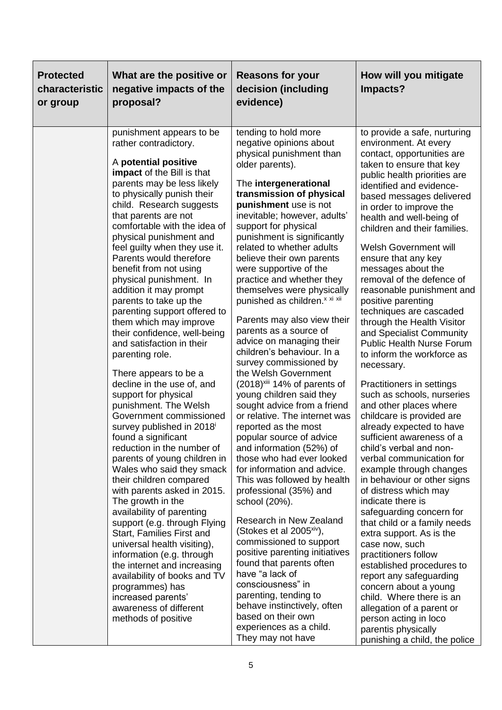| <b>Protected</b><br>characteristic<br>or group | What are the positive or<br>negative impacts of the<br>proposal?                                                                                                                                                                                                                                                                                                                                                                                                                                                                                                                                                                                                                                                                                                                                                                                                                                                                                                                                                                                                                                                                                                                                                                                                                 | <b>Reasons for your</b><br>decision (including<br>evidence)                                                                                                                                                                                                                                                                                                                                                                                                                                                                                                                                                                                                                                                                                                                                                                                                                                                                                                                                                                                                                                                                                                                                                                                                                                                                   | How will you mitigate<br>Impacts?                                                                                                                                                                                                                                                                                                                                                                                                                                                                                                                                                                                                                                                                                                                                                                                                                                                                                                                                                                                                                                                                                                                                                                                                                                                                                                |
|------------------------------------------------|----------------------------------------------------------------------------------------------------------------------------------------------------------------------------------------------------------------------------------------------------------------------------------------------------------------------------------------------------------------------------------------------------------------------------------------------------------------------------------------------------------------------------------------------------------------------------------------------------------------------------------------------------------------------------------------------------------------------------------------------------------------------------------------------------------------------------------------------------------------------------------------------------------------------------------------------------------------------------------------------------------------------------------------------------------------------------------------------------------------------------------------------------------------------------------------------------------------------------------------------------------------------------------|-------------------------------------------------------------------------------------------------------------------------------------------------------------------------------------------------------------------------------------------------------------------------------------------------------------------------------------------------------------------------------------------------------------------------------------------------------------------------------------------------------------------------------------------------------------------------------------------------------------------------------------------------------------------------------------------------------------------------------------------------------------------------------------------------------------------------------------------------------------------------------------------------------------------------------------------------------------------------------------------------------------------------------------------------------------------------------------------------------------------------------------------------------------------------------------------------------------------------------------------------------------------------------------------------------------------------------|----------------------------------------------------------------------------------------------------------------------------------------------------------------------------------------------------------------------------------------------------------------------------------------------------------------------------------------------------------------------------------------------------------------------------------------------------------------------------------------------------------------------------------------------------------------------------------------------------------------------------------------------------------------------------------------------------------------------------------------------------------------------------------------------------------------------------------------------------------------------------------------------------------------------------------------------------------------------------------------------------------------------------------------------------------------------------------------------------------------------------------------------------------------------------------------------------------------------------------------------------------------------------------------------------------------------------------|
|                                                | punishment appears to be<br>rather contradictory.<br>A potential positive<br>impact of the Bill is that<br>parents may be less likely<br>to physically punish their<br>child. Research suggests<br>that parents are not<br>comfortable with the idea of<br>physical punishment and<br>feel guilty when they use it.<br>Parents would therefore<br>benefit from not using<br>physical punishment. In<br>addition it may prompt<br>parents to take up the<br>parenting support offered to<br>them which may improve<br>their confidence, well-being<br>and satisfaction in their<br>parenting role.<br>There appears to be a<br>decline in the use of, and<br>support for physical<br>punishment. The Welsh<br>Government commissioned<br>survey published in 2018<br>found a significant<br>reduction in the number of<br>parents of young children in<br>Wales who said they smack<br>their children compared<br>with parents asked in 2015.<br>The growth in the<br>availability of parenting<br>support (e.g. through Flying<br>Start, Families First and<br>universal health visiting),<br>information (e.g. through<br>the internet and increasing<br>availability of books and TV<br>programmes) has<br>increased parents'<br>awareness of different<br>methods of positive | tending to hold more<br>negative opinions about<br>physical punishment than<br>older parents).<br>The intergenerational<br>transmission of physical<br>punishment use is not<br>inevitable; however, adults'<br>support for physical<br>punishment is significantly<br>related to whether adults<br>believe their own parents<br>were supportive of the<br>practice and whether they<br>themselves were physically<br>punished as children. <sup>x xi xii</sup><br>Parents may also view their<br>parents as a source of<br>advice on managing their<br>children's behaviour. In a<br>survey commissioned by<br>the Welsh Government<br>$(2018)^{xiii}$ 14% of parents of<br>young children said they<br>sought advice from a friend<br>or relative. The internet was<br>reported as the most<br>popular source of advice<br>and information (52%) of<br>those who had ever looked<br>for information and advice.<br>This was followed by health<br>professional (35%) and<br>school (20%).<br>Research in New Zealand<br>(Stokes et al 2005 <sup>xiv</sup> ),<br>commissioned to support<br>positive parenting initiatives<br>found that parents often<br>have "a lack of<br>consciousness" in<br>parenting, tending to<br>behave instinctively, often<br>based on their own<br>experiences as a child.<br>They may not have | to provide a safe, nurturing<br>environment. At every<br>contact, opportunities are<br>taken to ensure that key<br>public health priorities are<br>identified and evidence-<br>based messages delivered<br>in order to improve the<br>health and well-being of<br>children and their families.<br>Welsh Government will<br>ensure that any key<br>messages about the<br>removal of the defence of<br>reasonable punishment and<br>positive parenting<br>techniques are cascaded<br>through the Health Visitor<br>and Specialist Community<br><b>Public Health Nurse Forum</b><br>to inform the workforce as<br>necessary.<br>Practitioners in settings<br>such as schools, nurseries<br>and other places where<br>childcare is provided are<br>already expected to have<br>sufficient awareness of a<br>child's verbal and non-<br>verbal communication for<br>example through changes<br>in behaviour or other signs<br>of distress which may<br>indicate there is<br>safeguarding concern for<br>that child or a family needs<br>extra support. As is the<br>case now, such<br>practitioners follow<br>established procedures to<br>report any safeguarding<br>concern about a young<br>child. Where there is an<br>allegation of a parent or<br>person acting in loco<br>parentis physically<br>punishing a child, the police |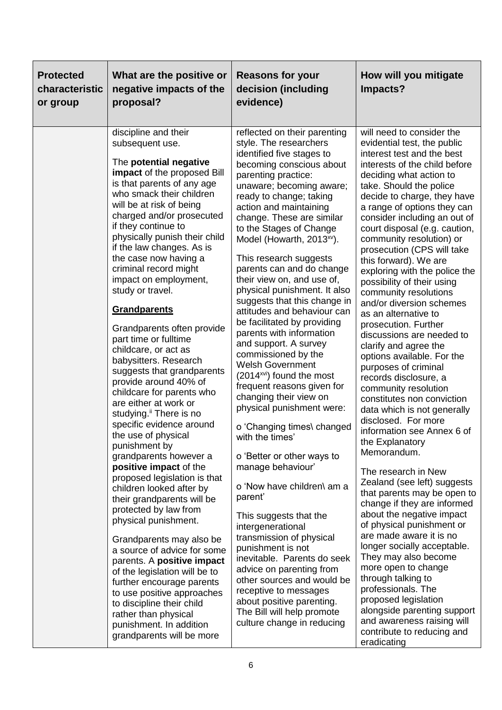| <b>Protected</b><br>characteristic<br>or group | What are the positive or<br>negative impacts of the<br>proposal?                                                                                                                                                                                                                                                                                                                                                                                                                                                                                                                                                                                                                                                                                                                                                                                                                                                                                                                                                                                                                                                                                                                                                                                                       | <b>Reasons for your</b><br>decision (including<br>evidence)                                                                                                                                                                                                                                                                                                                                                                                                                                                                                                                                                                                                                                                                                                                                                                                                                                                                                                                                                                                                                                                                                                                                                                              | How will you mitigate<br>Impacts?                                                                                                                                                                                                                                                                                                                                                                                                                                                                                                                                                                                                                                                                                                                                                                                                                                                                                                                                                                                                                                                                                                                                                                                                                                                                                                                         |
|------------------------------------------------|------------------------------------------------------------------------------------------------------------------------------------------------------------------------------------------------------------------------------------------------------------------------------------------------------------------------------------------------------------------------------------------------------------------------------------------------------------------------------------------------------------------------------------------------------------------------------------------------------------------------------------------------------------------------------------------------------------------------------------------------------------------------------------------------------------------------------------------------------------------------------------------------------------------------------------------------------------------------------------------------------------------------------------------------------------------------------------------------------------------------------------------------------------------------------------------------------------------------------------------------------------------------|------------------------------------------------------------------------------------------------------------------------------------------------------------------------------------------------------------------------------------------------------------------------------------------------------------------------------------------------------------------------------------------------------------------------------------------------------------------------------------------------------------------------------------------------------------------------------------------------------------------------------------------------------------------------------------------------------------------------------------------------------------------------------------------------------------------------------------------------------------------------------------------------------------------------------------------------------------------------------------------------------------------------------------------------------------------------------------------------------------------------------------------------------------------------------------------------------------------------------------------|-----------------------------------------------------------------------------------------------------------------------------------------------------------------------------------------------------------------------------------------------------------------------------------------------------------------------------------------------------------------------------------------------------------------------------------------------------------------------------------------------------------------------------------------------------------------------------------------------------------------------------------------------------------------------------------------------------------------------------------------------------------------------------------------------------------------------------------------------------------------------------------------------------------------------------------------------------------------------------------------------------------------------------------------------------------------------------------------------------------------------------------------------------------------------------------------------------------------------------------------------------------------------------------------------------------------------------------------------------------|
|                                                | discipline and their<br>subsequent use.<br>The potential negative<br><b>impact</b> of the proposed Bill<br>is that parents of any age<br>who smack their children<br>will be at risk of being<br>charged and/or prosecuted<br>if they continue to<br>physically punish their child<br>if the law changes. As is<br>the case now having a<br>criminal record might<br>impact on employment,<br>study or travel.<br><b>Grandparents</b><br>Grandparents often provide<br>part time or fulltime<br>childcare, or act as<br>babysitters. Research<br>suggests that grandparents<br>provide around 40% of<br>childcare for parents who<br>are either at work or<br>studying. <sup>ii</sup> There is no<br>specific evidence around<br>the use of physical<br>punishment by<br>grandparents however a<br>positive impact of the<br>proposed legislation is that<br>children looked after by<br>their grandparents will be<br>protected by law from<br>physical punishment.<br>Grandparents may also be<br>a source of advice for some<br>parents. A positive impact<br>of the legislation will be to<br>further encourage parents<br>to use positive approaches<br>to discipline their child<br>rather than physical<br>punishment. In addition<br>grandparents will be more | reflected on their parenting<br>style. The researchers<br>identified five stages to<br>becoming conscious about<br>parenting practice:<br>unaware; becoming aware;<br>ready to change; taking<br>action and maintaining<br>change. These are similar<br>to the Stages of Change<br>Model (Howarth, 2013 <sup>xv</sup> ).<br>This research suggests<br>parents can and do change<br>their view on, and use of,<br>physical punishment. It also<br>suggests that this change in<br>attitudes and behaviour can<br>be facilitated by providing<br>parents with information<br>and support. A survey<br>commissioned by the<br><b>Welsh Government</b><br>(2014 <sup>xvi</sup> ) found the most<br>frequent reasons given for<br>changing their view on<br>physical punishment were:<br>o 'Changing times\ changed<br>with the times'<br>o 'Better or other ways to<br>manage behaviour'<br>o 'Now have children\ am a<br>parent'<br>This suggests that the<br>intergenerational<br>transmission of physical<br>punishment is not<br>inevitable. Parents do seek<br>advice on parenting from<br>other sources and would be<br>receptive to messages<br>about positive parenting.<br>The Bill will help promote<br>culture change in reducing | will need to consider the<br>evidential test, the public<br>interest test and the best<br>interests of the child before<br>deciding what action to<br>take. Should the police<br>decide to charge, they have<br>a range of options they can<br>consider including an out of<br>court disposal (e.g. caution,<br>community resolution) or<br>prosecution (CPS will take<br>this forward). We are<br>exploring with the police the<br>possibility of their using<br>community resolutions<br>and/or diversion schemes<br>as an alternative to<br>prosecution. Further<br>discussions are needed to<br>clarify and agree the<br>options available. For the<br>purposes of criminal<br>records disclosure, a<br>community resolution<br>constitutes non conviction<br>data which is not generally<br>disclosed. For more<br>information see Annex 6 of<br>the Explanatory<br>Memorandum.<br>The research in New<br>Zealand (see left) suggests<br>that parents may be open to<br>change if they are informed<br>about the negative impact<br>of physical punishment or<br>are made aware it is no<br>longer socially acceptable.<br>They may also become<br>more open to change<br>through talking to<br>professionals. The<br>proposed legislation<br>alongside parenting support<br>and awareness raising will<br>contribute to reducing and<br>eradicating |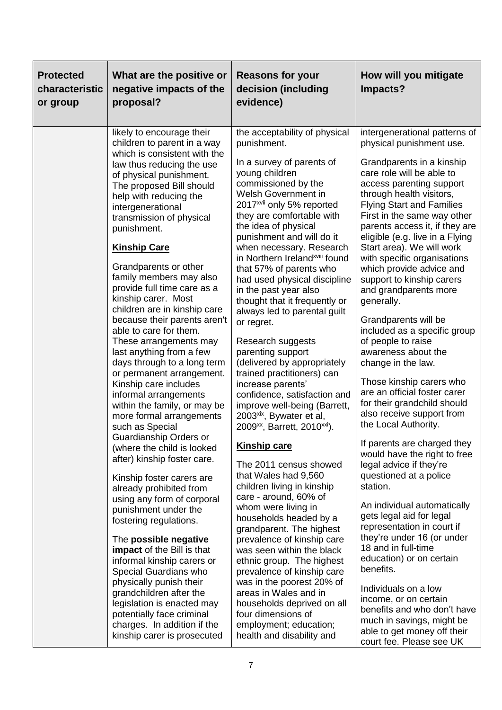| <b>Protected</b><br>characteristic<br>or group | What are the positive or<br>negative impacts of the<br>proposal?                                                                                                                                                                                                                                                                                                                                                                                                                                                                                                                                                                                                                                                                                                                                                                                                                                                                                                                                                                                                                                                                                                                                                                                                                        | <b>Reasons for your</b><br>decision (including<br>evidence)                                                                                                                                                                                                                                                                                                                                                                                                                                                                                                                                                                                                                                                                                                                                                                                                                                                                                                                                                                                                                                                                                                                                                                                                                                                       | How will you mitigate<br>Impacts?                                                                                                                                                                                                                                                                                                                                                                                                                                                                                                                                                                                                                                                                                                                                                                                                                                                                                                                                                                                                                                                                                                                                                                                                                         |
|------------------------------------------------|-----------------------------------------------------------------------------------------------------------------------------------------------------------------------------------------------------------------------------------------------------------------------------------------------------------------------------------------------------------------------------------------------------------------------------------------------------------------------------------------------------------------------------------------------------------------------------------------------------------------------------------------------------------------------------------------------------------------------------------------------------------------------------------------------------------------------------------------------------------------------------------------------------------------------------------------------------------------------------------------------------------------------------------------------------------------------------------------------------------------------------------------------------------------------------------------------------------------------------------------------------------------------------------------|-------------------------------------------------------------------------------------------------------------------------------------------------------------------------------------------------------------------------------------------------------------------------------------------------------------------------------------------------------------------------------------------------------------------------------------------------------------------------------------------------------------------------------------------------------------------------------------------------------------------------------------------------------------------------------------------------------------------------------------------------------------------------------------------------------------------------------------------------------------------------------------------------------------------------------------------------------------------------------------------------------------------------------------------------------------------------------------------------------------------------------------------------------------------------------------------------------------------------------------------------------------------------------------------------------------------|-----------------------------------------------------------------------------------------------------------------------------------------------------------------------------------------------------------------------------------------------------------------------------------------------------------------------------------------------------------------------------------------------------------------------------------------------------------------------------------------------------------------------------------------------------------------------------------------------------------------------------------------------------------------------------------------------------------------------------------------------------------------------------------------------------------------------------------------------------------------------------------------------------------------------------------------------------------------------------------------------------------------------------------------------------------------------------------------------------------------------------------------------------------------------------------------------------------------------------------------------------------|
|                                                | likely to encourage their<br>children to parent in a way<br>which is consistent with the<br>law thus reducing the use<br>of physical punishment.<br>The proposed Bill should<br>help with reducing the<br>intergenerational<br>transmission of physical<br>punishment.<br><b>Kinship Care</b><br>Grandparents or other<br>family members may also<br>provide full time care as a<br>kinship carer. Most<br>children are in kinship care<br>because their parents aren't<br>able to care for them.<br>These arrangements may<br>last anything from a few<br>days through to a long term<br>or permanent arrangement.<br>Kinship care includes<br>informal arrangements<br>within the family, or may be<br>more formal arrangements<br>such as Special<br>Guardianship Orders or<br>(where the child is looked<br>after) kinship foster care.<br>Kinship foster carers are<br>already prohibited from<br>using any form of corporal<br>punishment under the<br>fostering regulations.<br>The possible negative<br><b>impact</b> of the Bill is that<br>informal kinship carers or<br>Special Guardians who<br>physically punish their<br>grandchildren after the<br>legislation is enacted may<br>potentially face criminal<br>charges. In addition if the<br>kinship carer is prosecuted | the acceptability of physical<br>punishment.<br>In a survey of parents of<br>young children<br>commissioned by the<br>Welsh Government in<br>2017 <sup>xvii</sup> only 5% reported<br>they are comfortable with<br>the idea of physical<br>punishment and will do it<br>when necessary. Research<br>in Northern Ireland <sup>xviii</sup> found<br>that 57% of parents who<br>had used physical discipline<br>in the past year also<br>thought that it frequently or<br>always led to parental guilt<br>or regret.<br>Research suggests<br>parenting support<br>(delivered by appropriately<br>trained practitioners) can<br>increase parents'<br>confidence, satisfaction and<br>improve well-being (Barrett,<br>2003 <sup>xix</sup> , Bywater et al,<br>2009 <sup>xx</sup> , Barrett, 2010 <sup>xxi</sup> ).<br><b>Kinship care</b><br>The 2011 census showed<br>that Wales had 9,560<br>children living in kinship<br>care - around, 60% of<br>whom were living in<br>households headed by a<br>grandparent. The highest<br>prevalence of kinship care<br>was seen within the black<br>ethnic group. The highest<br>prevalence of kinship care<br>was in the poorest 20% of<br>areas in Wales and in<br>households deprived on all<br>four dimensions of<br>employment; education;<br>health and disability and | intergenerational patterns of<br>physical punishment use.<br>Grandparents in a kinship<br>care role will be able to<br>access parenting support<br>through health visitors,<br><b>Flying Start and Families</b><br>First in the same way other<br>parents access it, if they are<br>eligible (e.g. live in a Flying<br>Start area). We will work<br>with specific organisations<br>which provide advice and<br>support to kinship carers<br>and grandparents more<br>generally.<br>Grandparents will be<br>included as a specific group<br>of people to raise<br>awareness about the<br>change in the law.<br>Those kinship carers who<br>are an official foster carer<br>for their grandchild should<br>also receive support from<br>the Local Authority.<br>If parents are charged they<br>would have the right to free<br>legal advice if they're<br>questioned at a police<br>station.<br>An individual automatically<br>gets legal aid for legal<br>representation in court if<br>they're under 16 (or under<br>18 and in full-time<br>education) or on certain<br>benefits.<br>Individuals on a low<br>income, or on certain<br>benefits and who don't have<br>much in savings, might be<br>able to get money off their<br>court fee. Please see UK |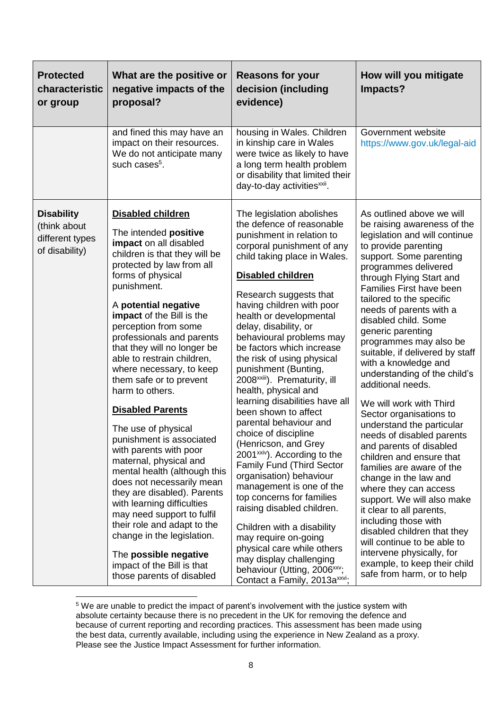| <b>Protected</b><br>characteristic<br>or group                         | What are the positive or<br>negative impacts of the<br>proposal?                                                                                                                                                                                                                                                                                                                                                                                                                                                                                                                                                                                                                                                                                                                                                                                                          | <b>Reasons for your</b><br>decision (including<br>evidence)                                                                                                                                                                                                                                                                                                                                                                                                                                                                                                                                                                                                                                                                                                                                                                                                                                                                                                                                      | How will you mitigate<br>Impacts?                                                                                                                                                                                                                                                                                                                                                                                                                                                                                                                                                                                                                                                                                                                                                                                                                                                                                                                                                  |
|------------------------------------------------------------------------|---------------------------------------------------------------------------------------------------------------------------------------------------------------------------------------------------------------------------------------------------------------------------------------------------------------------------------------------------------------------------------------------------------------------------------------------------------------------------------------------------------------------------------------------------------------------------------------------------------------------------------------------------------------------------------------------------------------------------------------------------------------------------------------------------------------------------------------------------------------------------|--------------------------------------------------------------------------------------------------------------------------------------------------------------------------------------------------------------------------------------------------------------------------------------------------------------------------------------------------------------------------------------------------------------------------------------------------------------------------------------------------------------------------------------------------------------------------------------------------------------------------------------------------------------------------------------------------------------------------------------------------------------------------------------------------------------------------------------------------------------------------------------------------------------------------------------------------------------------------------------------------|------------------------------------------------------------------------------------------------------------------------------------------------------------------------------------------------------------------------------------------------------------------------------------------------------------------------------------------------------------------------------------------------------------------------------------------------------------------------------------------------------------------------------------------------------------------------------------------------------------------------------------------------------------------------------------------------------------------------------------------------------------------------------------------------------------------------------------------------------------------------------------------------------------------------------------------------------------------------------------|
|                                                                        | and fined this may have an<br>impact on their resources.<br>We do not anticipate many<br>such cases <sup>5</sup> .                                                                                                                                                                                                                                                                                                                                                                                                                                                                                                                                                                                                                                                                                                                                                        | housing in Wales. Children<br>in kinship care in Wales<br>were twice as likely to have<br>a long term health problem<br>or disability that limited their<br>day-to-day activities <sup>xxii</sup> .                                                                                                                                                                                                                                                                                                                                                                                                                                                                                                                                                                                                                                                                                                                                                                                              | Government website<br>https://www.gov.uk/legal-aid                                                                                                                                                                                                                                                                                                                                                                                                                                                                                                                                                                                                                                                                                                                                                                                                                                                                                                                                 |
| <b>Disability</b><br>(think about<br>different types<br>of disability) | <b>Disabled children</b><br>The intended positive<br>impact on all disabled<br>children is that they will be<br>protected by law from all<br>forms of physical<br>punishment.<br>A potential negative<br>impact of the Bill is the<br>perception from some<br>professionals and parents<br>that they will no longer be<br>able to restrain children,<br>where necessary, to keep<br>them safe or to prevent<br>harm to others.<br><b>Disabled Parents</b><br>The use of physical<br>punishment is associated<br>with parents with poor<br>maternal, physical and<br>mental health (although this<br>does not necessarily mean<br>they are disabled). Parents<br>with learning difficulties<br>may need support to fulfil<br>their role and adapt to the<br>change in the legislation.<br>The possible negative<br>impact of the Bill is that<br>those parents of disabled | The legislation abolishes<br>the defence of reasonable<br>punishment in relation to<br>corporal punishment of any<br>child taking place in Wales.<br><b>Disabled children</b><br>Research suggests that<br>having children with poor<br>health or developmental<br>delay, disability, or<br>behavioural problems may<br>be factors which increase<br>the risk of using physical<br>punishment (Bunting,<br>2008 <sup>xxiii</sup> ). Prematurity, ill<br>health, physical and<br>learning disabilities have all<br>been shown to affect<br>parental behaviour and<br>choice of discipline<br>(Henricson, and Grey<br>2001 <sup>xxiv</sup> ). According to the<br><b>Family Fund (Third Sector</b><br>organisation) behaviour<br>management is one of the<br>top concerns for families<br>raising disabled children.<br>Children with a disability<br>may require on-going<br>physical care while others<br>may display challenging<br>behaviour (Utting, 2006xxv;<br>Contact a Family, 2013axxvi; | As outlined above we will<br>be raising awareness of the<br>legislation and will continue<br>to provide parenting<br>support. Some parenting<br>programmes delivered<br>through Flying Start and<br><b>Families First have been</b><br>tailored to the specific<br>needs of parents with a<br>disabled child. Some<br>generic parenting<br>programmes may also be<br>suitable, if delivered by staff<br>with a knowledge and<br>understanding of the child's<br>additional needs.<br>We will work with Third<br>Sector organisations to<br>understand the particular<br>needs of disabled parents<br>and parents of disabled<br>children and ensure that<br>families are aware of the<br>change in the law and<br>where they can access<br>support. We will also make<br>it clear to all parents,<br>including those with<br>disabled children that they<br>will continue to be able to<br>intervene physically, for<br>example, to keep their child<br>safe from harm, or to help |

<sup>&</sup>lt;sup>5</sup> We are unable to predict the impact of parent's involvement with the justice system with absolute certainty because there is no precedent in the UK for removing the defence and because of current reporting and recording practices. This assessment has been made using the best data, currently available, including using the experience in New Zealand as a proxy. Please see the Justice Impact Assessment for further information.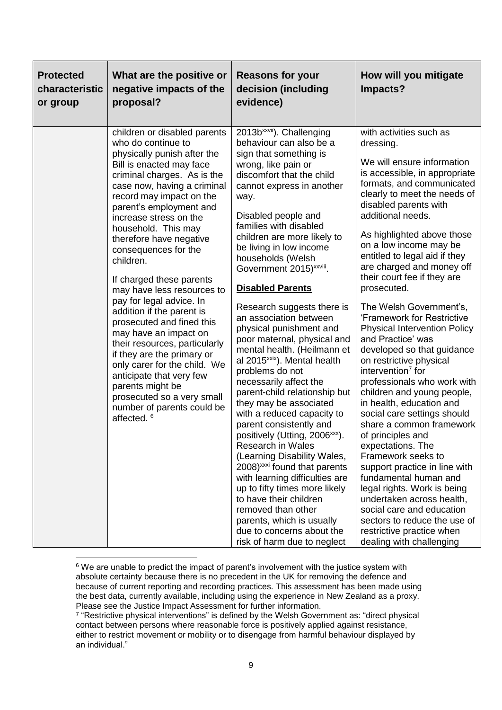| <b>Protected</b><br>characteristic<br>or group | What are the positive or<br>negative impacts of the<br>proposal?                                                                                                                                                                                                                                                                                                                                                                                                                                                                                                                                                                                                                                                                                                  | <b>Reasons for your</b><br>decision (including<br>evidence)                                                                                                                                                                                                                                                                                                                                                                                                                                                                                                                                                                                                                                                                                                                                                                                                                                                                                                                                                                                                                                                           | How will you mitigate<br>Impacts?                                                                                                                                                                                                                                                                                                                                                                                                                                                                                                                                                                                                                                                                                                                                                                                                                                                                                                                                                                                                                                 |
|------------------------------------------------|-------------------------------------------------------------------------------------------------------------------------------------------------------------------------------------------------------------------------------------------------------------------------------------------------------------------------------------------------------------------------------------------------------------------------------------------------------------------------------------------------------------------------------------------------------------------------------------------------------------------------------------------------------------------------------------------------------------------------------------------------------------------|-----------------------------------------------------------------------------------------------------------------------------------------------------------------------------------------------------------------------------------------------------------------------------------------------------------------------------------------------------------------------------------------------------------------------------------------------------------------------------------------------------------------------------------------------------------------------------------------------------------------------------------------------------------------------------------------------------------------------------------------------------------------------------------------------------------------------------------------------------------------------------------------------------------------------------------------------------------------------------------------------------------------------------------------------------------------------------------------------------------------------|-------------------------------------------------------------------------------------------------------------------------------------------------------------------------------------------------------------------------------------------------------------------------------------------------------------------------------------------------------------------------------------------------------------------------------------------------------------------------------------------------------------------------------------------------------------------------------------------------------------------------------------------------------------------------------------------------------------------------------------------------------------------------------------------------------------------------------------------------------------------------------------------------------------------------------------------------------------------------------------------------------------------------------------------------------------------|
|                                                | children or disabled parents<br>who do continue to<br>physically punish after the<br>Bill is enacted may face<br>criminal charges. As is the<br>case now, having a criminal<br>record may impact on the<br>parent's employment and<br>increase stress on the<br>household. This may<br>therefore have negative<br>consequences for the<br>children.<br>If charged these parents<br>may have less resources to<br>pay for legal advice. In<br>addition if the parent is<br>prosecuted and fined this<br>may have an impact on<br>their resources, particularly<br>if they are the primary or<br>only carer for the child. We<br>anticipate that very few<br>parents might be<br>prosecuted so a very small<br>number of parents could be<br>affected. <sup>6</sup> | 2013b <sup>xxvii</sup> ). Challenging<br>behaviour can also be a<br>sign that something is<br>wrong, like pain or<br>discomfort that the child<br>cannot express in another<br>way.<br>Disabled people and<br>families with disabled<br>children are more likely to<br>be living in low income<br>households (Welsh<br>Government 2015) <sup>xxviii</sup> .<br><b>Disabled Parents</b><br>Research suggests there is<br>an association between<br>physical punishment and<br>poor maternal, physical and<br>mental health. (Heilmann et<br>al 2015 <sup>xxix</sup> ). Mental health<br>problems do not<br>necessarily affect the<br>parent-child relationship but<br>they may be associated<br>with a reduced capacity to<br>parent consistently and<br>positively (Utting, 2006 <sup>xxx</sup> ).<br><b>Research in Wales</b><br>(Learning Disability Wales,<br>2008) <sup>xxxi</sup> found that parents<br>with learning difficulties are<br>up to fifty times more likely<br>to have their children<br>removed than other<br>parents, which is usually<br>due to concerns about the<br>risk of harm due to neglect | with activities such as<br>dressing.<br>We will ensure information<br>is accessible, in appropriate<br>formats, and communicated<br>clearly to meet the needs of<br>disabled parents with<br>additional needs.<br>As highlighted above those<br>on a low income may be<br>entitled to legal aid if they<br>are charged and money off<br>their court fee if they are<br>prosecuted.<br>The Welsh Government's,<br>'Framework for Restrictive<br><b>Physical Intervention Policy</b><br>and Practice' was<br>developed so that guidance<br>on restrictive physical<br>intervention <sup>7</sup> for<br>professionals who work with<br>children and young people,<br>in health, education and<br>social care settings should<br>share a common framework<br>of principles and<br>expectations. The<br>Framework seeks to<br>support practice in line with<br>fundamental human and<br>legal rights. Work is being<br>undertaken across health,<br>social care and education<br>sectors to reduce the use of<br>restrictive practice when<br>dealing with challenging |

**<sup>.</sup>** <sup>6</sup> We are unable to predict the impact of parent's involvement with the justice system with absolute certainty because there is no precedent in the UK for removing the defence and because of current reporting and recording practices. This assessment has been made using the best data, currently available, including using the experience in New Zealand as a proxy. Please see the Justice Impact Assessment for further information.

<sup>7</sup> "Restrictive physical interventions" is defined by the Welsh Government as: "direct physical contact between persons where reasonable force is positively applied against resistance, either to restrict movement or mobility or to disengage from harmful behaviour displayed by an individual."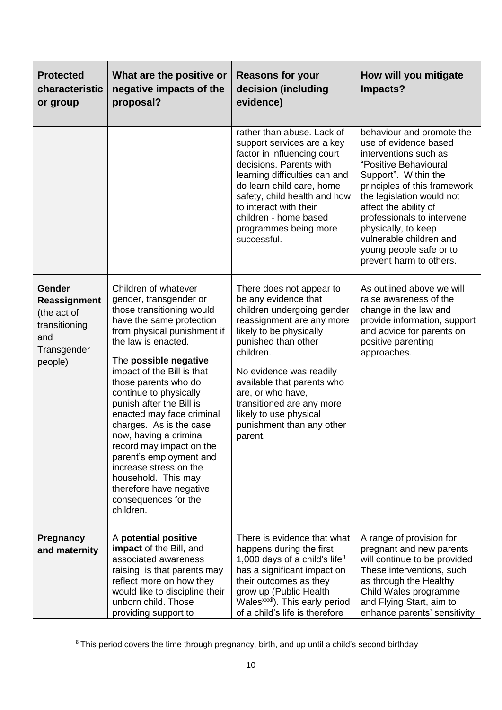| <b>Protected</b><br>characteristic<br>or group                                                 | What are the positive or<br>negative impacts of the<br>proposal?                                                                                                                                                                                                                                                                                                                                                                                                                                                                                             | <b>Reasons for your</b><br>decision (including<br>evidence)                                                                                                                                                                                                                                                                                             | How will you mitigate<br>Impacts?                                                                                                                                                                                                                                                                                                                        |
|------------------------------------------------------------------------------------------------|--------------------------------------------------------------------------------------------------------------------------------------------------------------------------------------------------------------------------------------------------------------------------------------------------------------------------------------------------------------------------------------------------------------------------------------------------------------------------------------------------------------------------------------------------------------|---------------------------------------------------------------------------------------------------------------------------------------------------------------------------------------------------------------------------------------------------------------------------------------------------------------------------------------------------------|----------------------------------------------------------------------------------------------------------------------------------------------------------------------------------------------------------------------------------------------------------------------------------------------------------------------------------------------------------|
|                                                                                                |                                                                                                                                                                                                                                                                                                                                                                                                                                                                                                                                                              | rather than abuse. Lack of<br>support services are a key<br>factor in influencing court<br>decisions. Parents with<br>learning difficulties can and<br>do learn child care, home<br>safety, child health and how<br>to interact with their<br>children - home based<br>programmes being more<br>successful.                                             | behaviour and promote the<br>use of evidence based<br>interventions such as<br>"Positive Behavioural<br>Support". Within the<br>principles of this framework<br>the legislation would not<br>affect the ability of<br>professionals to intervene<br>physically, to keep<br>vulnerable children and<br>young people safe or to<br>prevent harm to others. |
| <b>Gender</b><br>Reassignment<br>(the act of<br>transitioning<br>and<br>Transgender<br>people) | Children of whatever<br>gender, transgender or<br>those transitioning would<br>have the same protection<br>from physical punishment if<br>the law is enacted.<br>The possible negative<br>impact of the Bill is that<br>those parents who do<br>continue to physically<br>punish after the Bill is<br>enacted may face criminal<br>charges. As is the case<br>now, having a criminal<br>record may impact on the<br>parent's employment and<br>increase stress on the<br>household. This may<br>therefore have negative<br>consequences for the<br>children. | There does not appear to<br>be any evidence that<br>children undergoing gender<br>reassignment are any more<br>likely to be physically<br>punished than other<br>children.<br>No evidence was readily<br>available that parents who<br>are, or who have,<br>transitioned are any more<br>likely to use physical<br>punishment than any other<br>parent. | As outlined above we will<br>raise awareness of the<br>change in the law and<br>provide information, support<br>and advice for parents on<br>positive parenting<br>approaches.                                                                                                                                                                           |
| <b>Pregnancy</b><br>and maternity                                                              | A potential positive<br>impact of the Bill, and<br>associated awareness<br>raising, is that parents may<br>reflect more on how they<br>would like to discipline their<br>unborn child. Those<br>providing support to                                                                                                                                                                                                                                                                                                                                         | There is evidence that what<br>happens during the first<br>1,000 days of a child's life <sup>8</sup><br>has a significant impact on<br>their outcomes as they<br>grow up (Public Health<br>Wales <sup>xxxii</sup> ). This early period<br>of a child's life is therefore                                                                                | A range of provision for<br>pregnant and new parents<br>will continue to be provided<br>These interventions, such<br>as through the Healthy<br>Child Wales programme<br>and Flying Start, aim to<br>enhance parents' sensitivity                                                                                                                         |

**<sup>.</sup>**  $8$  This period covers the time through pregnancy, birth, and up until a child's second birthday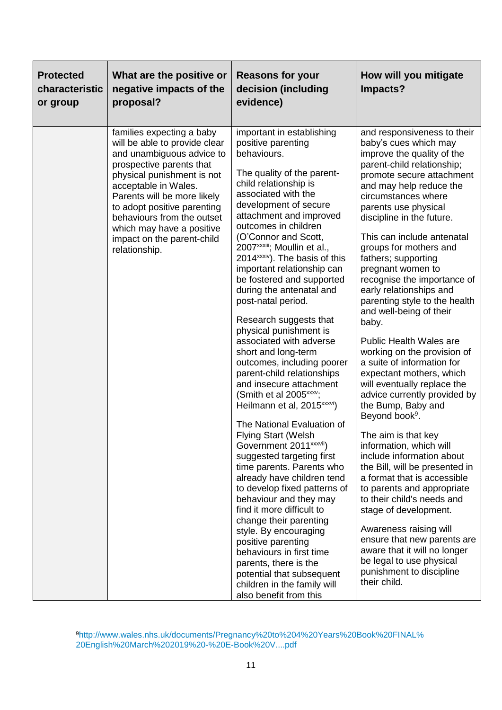| <b>Protected</b><br>characteristic<br>or group | What are the positive or<br>negative impacts of the<br>proposal?                                                                                                                                                                                                                                                                                  | <b>Reasons for your</b><br>decision (including<br>evidence)                                                                                                                                                                                                                                                                                                                                                                                                                                                                                                                                                                                                                                                                                                                                                                                                                                                                                                                                                                                                                                                                                                                                                                                  | How will you mitigate<br>Impacts?                                                                                                                                                                                                                                                                                                                                                                                                                                                                                                                                                                                                                                                                                                                                                                                                                                                                                                                                                                                                                                                                                                           |
|------------------------------------------------|---------------------------------------------------------------------------------------------------------------------------------------------------------------------------------------------------------------------------------------------------------------------------------------------------------------------------------------------------|----------------------------------------------------------------------------------------------------------------------------------------------------------------------------------------------------------------------------------------------------------------------------------------------------------------------------------------------------------------------------------------------------------------------------------------------------------------------------------------------------------------------------------------------------------------------------------------------------------------------------------------------------------------------------------------------------------------------------------------------------------------------------------------------------------------------------------------------------------------------------------------------------------------------------------------------------------------------------------------------------------------------------------------------------------------------------------------------------------------------------------------------------------------------------------------------------------------------------------------------|---------------------------------------------------------------------------------------------------------------------------------------------------------------------------------------------------------------------------------------------------------------------------------------------------------------------------------------------------------------------------------------------------------------------------------------------------------------------------------------------------------------------------------------------------------------------------------------------------------------------------------------------------------------------------------------------------------------------------------------------------------------------------------------------------------------------------------------------------------------------------------------------------------------------------------------------------------------------------------------------------------------------------------------------------------------------------------------------------------------------------------------------|
|                                                | families expecting a baby<br>will be able to provide clear<br>and unambiguous advice to<br>prospective parents that<br>physical punishment is not<br>acceptable in Wales.<br>Parents will be more likely<br>to adopt positive parenting<br>behaviours from the outset<br>which may have a positive<br>impact on the parent-child<br>relationship. | important in establishing<br>positive parenting<br>behaviours.<br>The quality of the parent-<br>child relationship is<br>associated with the<br>development of secure<br>attachment and improved<br>outcomes in children<br>(O'Connor and Scott,<br>2007 <sup>xxxiii</sup> ; Moullin et al.,<br>2014 <sup>xxxiv</sup> ). The basis of this<br>important relationship can<br>be fostered and supported<br>during the antenatal and<br>post-natal period.<br>Research suggests that<br>physical punishment is<br>associated with adverse<br>short and long-term<br>outcomes, including poorer<br>parent-child relationships<br>and insecure attachment<br>(Smith et al 2005 <sup>xxxv</sup> ;<br>Heilmann et al, 2015 <sup>xxxvi</sup> )<br>The National Evaluation of<br><b>Flying Start (Welsh</b><br>Government 2011 <sup>xxxvii</sup> )<br>suggested targeting first<br>time parents. Parents who<br>already have children tend<br>to develop fixed patterns of<br>behaviour and they may<br>find it more difficult to<br>change their parenting<br>style. By encouraging<br>positive parenting<br>behaviours in first time<br>parents, there is the<br>potential that subsequent<br>children in the family will<br>also benefit from this | and responsiveness to their<br>baby's cues which may<br>improve the quality of the<br>parent-child relationship;<br>promote secure attachment<br>and may help reduce the<br>circumstances where<br>parents use physical<br>discipline in the future.<br>This can include antenatal<br>groups for mothers and<br>fathers; supporting<br>pregnant women to<br>recognise the importance of<br>early relationships and<br>parenting style to the health<br>and well-being of their<br>baby.<br><b>Public Health Wales are</b><br>working on the provision of<br>a suite of information for<br>expectant mothers, which<br>will eventually replace the<br>advice currently provided by<br>the Bump, Baby and<br>Beyond book <sup>9</sup> .<br>The aim is that key<br>information, which will<br>include information about<br>the Bill, will be presented in<br>a format that is accessible<br>to parents and appropriate<br>to their child's needs and<br>stage of development.<br>Awareness raising will<br>ensure that new parents are<br>aware that it will no longer<br>be legal to use physical<br>punishment to discipline<br>their child. |

**<sup>.</sup>** <sup>9</sup>[http://www.wales.nhs.uk/documents/Pregnancy%20to%204%20Years%20Book%20FINAL%](http://www.wales.nhs.uk/documents/Pregnancy%20to%204%20Years%20Book%20FINAL%20English%20March%202019%20-%20E-Book%20V....pdf) [20English%20March%202019%20-%20E-Book%20V....pdf](http://www.wales.nhs.uk/documents/Pregnancy%20to%204%20Years%20Book%20FINAL%20English%20March%202019%20-%20E-Book%20V....pdf)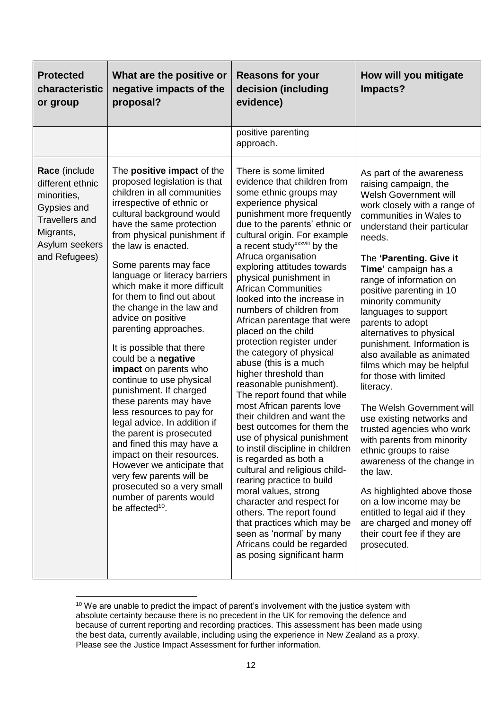| <b>Protected</b><br>characteristic<br>or group                                                                                           | What are the positive or<br>negative impacts of the<br>proposal?                                                                                                                                                                                                                                                                                                                                                                                                                                                                                                                                                                                                                                                                                                                                                                                                                                                    | <b>Reasons for your</b><br>decision (including<br>evidence)                                                                                                                                                                                                                                                                                                                                                                                                                                                                                                                                                                                                                                                                                                                                                                                                                                                                                                                                                                                                                                                     | How will you mitigate<br>Impacts?                                                                                                                                                                                                                                                                                                                                                                                                                                                                                                                                                                                                                                                                                                                                                                                                                                                    |
|------------------------------------------------------------------------------------------------------------------------------------------|---------------------------------------------------------------------------------------------------------------------------------------------------------------------------------------------------------------------------------------------------------------------------------------------------------------------------------------------------------------------------------------------------------------------------------------------------------------------------------------------------------------------------------------------------------------------------------------------------------------------------------------------------------------------------------------------------------------------------------------------------------------------------------------------------------------------------------------------------------------------------------------------------------------------|-----------------------------------------------------------------------------------------------------------------------------------------------------------------------------------------------------------------------------------------------------------------------------------------------------------------------------------------------------------------------------------------------------------------------------------------------------------------------------------------------------------------------------------------------------------------------------------------------------------------------------------------------------------------------------------------------------------------------------------------------------------------------------------------------------------------------------------------------------------------------------------------------------------------------------------------------------------------------------------------------------------------------------------------------------------------------------------------------------------------|--------------------------------------------------------------------------------------------------------------------------------------------------------------------------------------------------------------------------------------------------------------------------------------------------------------------------------------------------------------------------------------------------------------------------------------------------------------------------------------------------------------------------------------------------------------------------------------------------------------------------------------------------------------------------------------------------------------------------------------------------------------------------------------------------------------------------------------------------------------------------------------|
|                                                                                                                                          |                                                                                                                                                                                                                                                                                                                                                                                                                                                                                                                                                                                                                                                                                                                                                                                                                                                                                                                     | positive parenting<br>approach.                                                                                                                                                                                                                                                                                                                                                                                                                                                                                                                                                                                                                                                                                                                                                                                                                                                                                                                                                                                                                                                                                 |                                                                                                                                                                                                                                                                                                                                                                                                                                                                                                                                                                                                                                                                                                                                                                                                                                                                                      |
| Race (include<br>different ethnic<br>minorities,<br>Gypsies and<br><b>Travellers and</b><br>Migrants,<br>Asylum seekers<br>and Refugees) | The <b>positive impact</b> of the<br>proposed legislation is that<br>children in all communities<br>irrespective of ethnic or<br>cultural background would<br>have the same protection<br>from physical punishment if<br>the law is enacted.<br>Some parents may face<br>language or literacy barriers<br>which make it more difficult<br>for them to find out about<br>the change in the law and<br>advice on positive<br>parenting approaches.<br>It is possible that there<br>could be a negative<br>impact on parents who<br>continue to use physical<br>punishment. If charged<br>these parents may have<br>less resources to pay for<br>legal advice. In addition if<br>the parent is prosecuted<br>and fined this may have a<br>impact on their resources.<br>However we anticipate that<br>very few parents will be<br>prosecuted so a very small<br>number of parents would<br>be affected <sup>10</sup> . | There is some limited<br>evidence that children from<br>some ethnic groups may<br>experience physical<br>punishment more frequently<br>due to the parents' ethnic or<br>cultural origin. For example<br>a recent study <sup>xxxviii</sup> by the<br>Afruca organisation<br>exploring attitudes towards<br>physical punishment in<br><b>African Communities</b><br>looked into the increase in<br>numbers of children from<br>African parentage that were<br>placed on the child<br>protection register under<br>the category of physical<br>abuse (this is a much<br>higher threshold than<br>reasonable punishment).<br>The report found that while<br>most African parents love<br>their children and want the<br>best outcomes for them the<br>use of physical punishment<br>to instil discipline in children<br>is regarded as both a<br>cultural and religious child-<br>rearing practice to build<br>moral values, strong<br>character and respect for<br>others. The report found<br>that practices which may be<br>seen as 'normal' by many<br>Africans could be regarded<br>as posing significant harm | As part of the awareness<br>raising campaign, the<br>Welsh Government will<br>work closely with a range of<br>communities in Wales to<br>understand their particular<br>needs.<br>The 'Parenting. Give it<br>Time' campaign has a<br>range of information on<br>positive parenting in 10<br>minority community<br>languages to support<br>parents to adopt<br>alternatives to physical<br>punishment. Information is<br>also available as animated<br>films which may be helpful<br>for those with limited<br>literacy.<br>The Welsh Government will<br>use existing networks and<br>trusted agencies who work<br>with parents from minority<br>ethnic groups to raise<br>awareness of the change in<br>the law.<br>As highlighted above those<br>on a low income may be<br>entitled to legal aid if they<br>are charged and money off<br>their court fee if they are<br>prosecuted. |

 $10$  We are unable to predict the impact of parent's involvement with the justice system with absolute certainty because there is no precedent in the UK for removing the defence and because of current reporting and recording practices. This assessment has been made using the best data, currently available, including using the experience in New Zealand as a proxy. Please see the Justice Impact Assessment for further information.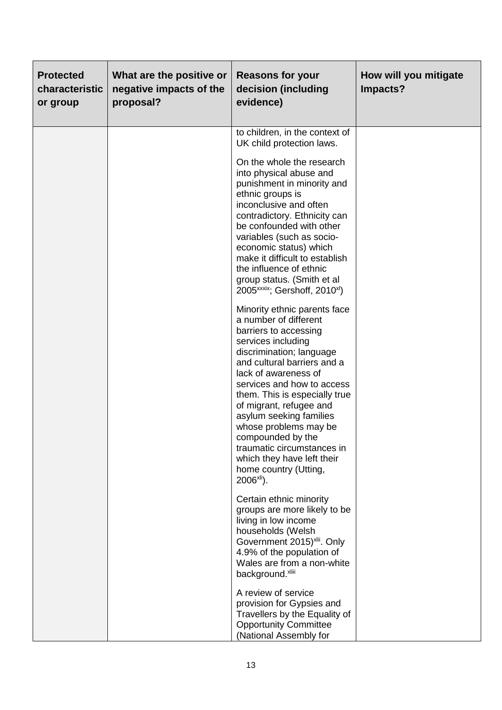| <b>Protected</b><br>characteristic<br>or group | What are the positive or<br>negative impacts of the<br>proposal? | <b>Reasons for your</b><br>decision (including<br>evidence)                                                                                                                                                                                                                                                                                                                                                                                                                                                                                                                                                                                                                                                                                                                                                                                                                                                                                            | How will you mitigate<br>Impacts? |
|------------------------------------------------|------------------------------------------------------------------|--------------------------------------------------------------------------------------------------------------------------------------------------------------------------------------------------------------------------------------------------------------------------------------------------------------------------------------------------------------------------------------------------------------------------------------------------------------------------------------------------------------------------------------------------------------------------------------------------------------------------------------------------------------------------------------------------------------------------------------------------------------------------------------------------------------------------------------------------------------------------------------------------------------------------------------------------------|-----------------------------------|
|                                                |                                                                  | to children, in the context of<br>UK child protection laws.<br>On the whole the research<br>into physical abuse and<br>punishment in minority and<br>ethnic groups is<br>inconclusive and often<br>contradictory. Ethnicity can<br>be confounded with other<br>variables (such as socio-<br>economic status) which<br>make it difficult to establish<br>the influence of ethnic<br>group status. (Smith et al<br>2005 <sup>xxxix</sup> ; Gershoff, 2010 <sup>xl</sup> )<br>Minority ethnic parents face<br>a number of different<br>barriers to accessing<br>services including<br>discrimination; language<br>and cultural barriers and a<br>lack of awareness of<br>services and how to access<br>them. This is especially true<br>of migrant, refugee and<br>asylum seeking families<br>whose problems may be<br>compounded by the<br>traumatic circumstances in<br>which they have left their<br>home country (Utting,<br>$2006$ <sup>xli</sup> ). |                                   |
|                                                |                                                                  | Certain ethnic minority<br>groups are more likely to be<br>living in low income<br>households (Welsh<br>Government 2015) <sup>xlii</sup> . Only<br>4.9% of the population of<br>Wales are from a non-white<br>background.xliii                                                                                                                                                                                                                                                                                                                                                                                                                                                                                                                                                                                                                                                                                                                         |                                   |
|                                                |                                                                  | A review of service<br>provision for Gypsies and<br>Travellers by the Equality of<br><b>Opportunity Committee</b><br>(National Assembly for                                                                                                                                                                                                                                                                                                                                                                                                                                                                                                                                                                                                                                                                                                                                                                                                            |                                   |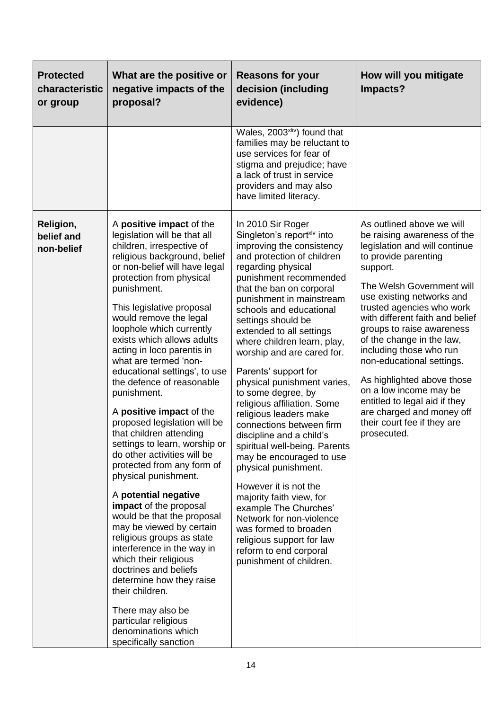| <b>Protected</b><br>characteristic<br>or group | What are the positive or<br>negative impacts of the<br>proposal?                                                                                                                                                                                                                                                                                                                                                                                                                                                                                                                                                                                                                                                                                                                                                                                                                                                                                                                                                                         | <b>Reasons for your</b><br>decision (including<br>evidence)                                                                                                                                                                                                                                                                                                                                                                                                                                                                                                                                                                                                                                                                                                                                                                                                                      | How will you mitigate<br>Impacts?                                                                                                                                                                                                                                                                                                                                                                                                                                                                                                             |
|------------------------------------------------|------------------------------------------------------------------------------------------------------------------------------------------------------------------------------------------------------------------------------------------------------------------------------------------------------------------------------------------------------------------------------------------------------------------------------------------------------------------------------------------------------------------------------------------------------------------------------------------------------------------------------------------------------------------------------------------------------------------------------------------------------------------------------------------------------------------------------------------------------------------------------------------------------------------------------------------------------------------------------------------------------------------------------------------|----------------------------------------------------------------------------------------------------------------------------------------------------------------------------------------------------------------------------------------------------------------------------------------------------------------------------------------------------------------------------------------------------------------------------------------------------------------------------------------------------------------------------------------------------------------------------------------------------------------------------------------------------------------------------------------------------------------------------------------------------------------------------------------------------------------------------------------------------------------------------------|-----------------------------------------------------------------------------------------------------------------------------------------------------------------------------------------------------------------------------------------------------------------------------------------------------------------------------------------------------------------------------------------------------------------------------------------------------------------------------------------------------------------------------------------------|
|                                                |                                                                                                                                                                                                                                                                                                                                                                                                                                                                                                                                                                                                                                                                                                                                                                                                                                                                                                                                                                                                                                          | Wales, 2003 <sup>xliv</sup> ) found that<br>families may be reluctant to<br>use services for fear of<br>stigma and prejudice; have<br>a lack of trust in service<br>providers and may also<br>have limited literacy.                                                                                                                                                                                                                                                                                                                                                                                                                                                                                                                                                                                                                                                             |                                                                                                                                                                                                                                                                                                                                                                                                                                                                                                                                               |
| Religion,<br>belief and<br>non-belief          | A positive impact of the<br>legislation will be that all<br>children, irrespective of<br>religious background, belief<br>or non-belief will have legal<br>protection from physical<br>punishment.<br>This legislative proposal<br>would remove the legal<br>loophole which currently<br>exists which allows adults<br>acting in loco parentis in<br>what are termed 'non-<br>educational settings', to use<br>the defence of reasonable<br>punishment.<br>A positive impact of the<br>proposed legislation will be<br>that children attending<br>settings to learn, worship or<br>do other activities will be<br>protected from any form of<br>physical punishment.<br>A potential negative<br>impact of the proposal<br>would be that the proposal<br>may be viewed by certain<br>religious groups as state<br>interference in the way in<br>which their religious<br>doctrines and beliefs<br>determine how they raise<br>their children.<br>There may also be<br>particular religious<br>denominations which<br>specifically sanction | In 2010 Sir Roger<br>Singleton's report <sup>xlv</sup> into<br>improving the consistency<br>and protection of children<br>regarding physical<br>punishment recommended<br>that the ban on corporal<br>punishment in mainstream<br>schools and educational<br>settings should be<br>extended to all settings<br>where children learn, play,<br>worship and are cared for.<br>Parents' support for<br>physical punishment varies,<br>to some degree, by<br>religious affiliation. Some<br>religious leaders make<br>connections between firm<br>discipline and a child's<br>spiritual well-being. Parents<br>may be encouraged to use<br>physical punishment.<br>However it is not the<br>majority faith view, for<br>example The Churches'<br>Network for non-violence<br>was formed to broaden<br>religious support for law<br>reform to end corporal<br>punishment of children. | As outlined above we will<br>be raising awareness of the<br>legislation and will continue<br>to provide parenting<br>support.<br>The Welsh Government will<br>use existing networks and<br>trusted agencies who work<br>with different faith and belief<br>groups to raise awareness<br>of the change in the law,<br>including those who run<br>non-educational settings.<br>As highlighted above those<br>on a low income may be<br>entitled to legal aid if they<br>are charged and money off<br>their court fee if they are<br>prosecuted. |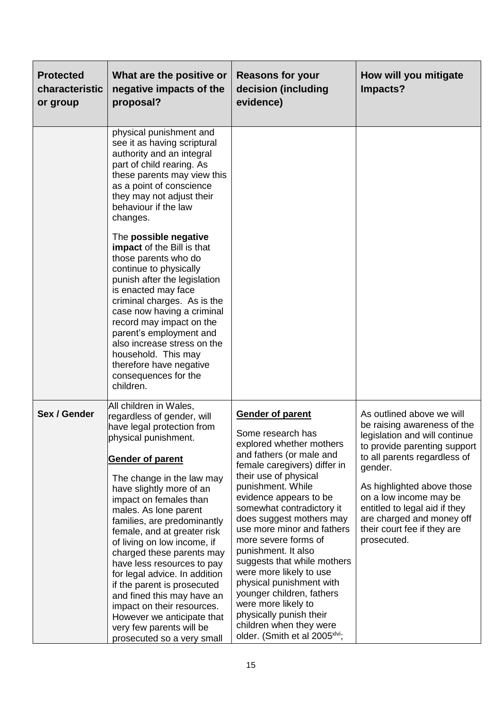| <b>Protected</b><br>characteristic<br>or group | What are the positive or<br>negative impacts of the<br>proposal?                                                                                                                                                                                                                                                                                                                                                                                                                                                                                                                                                              | <b>Reasons for your</b><br>decision (including<br>evidence)                                                                                                                                                                                                                                                                                                                                                                                                                                                                                                                                      | How will you mitigate<br>Impacts?                                                                                                                                                                                                                                                                                                        |
|------------------------------------------------|-------------------------------------------------------------------------------------------------------------------------------------------------------------------------------------------------------------------------------------------------------------------------------------------------------------------------------------------------------------------------------------------------------------------------------------------------------------------------------------------------------------------------------------------------------------------------------------------------------------------------------|--------------------------------------------------------------------------------------------------------------------------------------------------------------------------------------------------------------------------------------------------------------------------------------------------------------------------------------------------------------------------------------------------------------------------------------------------------------------------------------------------------------------------------------------------------------------------------------------------|------------------------------------------------------------------------------------------------------------------------------------------------------------------------------------------------------------------------------------------------------------------------------------------------------------------------------------------|
|                                                | physical punishment and<br>see it as having scriptural<br>authority and an integral<br>part of child rearing. As<br>these parents may view this<br>as a point of conscience<br>they may not adjust their<br>behaviour if the law<br>changes.                                                                                                                                                                                                                                                                                                                                                                                  |                                                                                                                                                                                                                                                                                                                                                                                                                                                                                                                                                                                                  |                                                                                                                                                                                                                                                                                                                                          |
|                                                | The possible negative<br>impact of the Bill is that<br>those parents who do<br>continue to physically<br>punish after the legislation<br>is enacted may face<br>criminal charges. As is the<br>case now having a criminal<br>record may impact on the<br>parent's employment and<br>also increase stress on the<br>household. This may<br>therefore have negative<br>consequences for the<br>children.                                                                                                                                                                                                                        |                                                                                                                                                                                                                                                                                                                                                                                                                                                                                                                                                                                                  |                                                                                                                                                                                                                                                                                                                                          |
| Sex / Gender                                   | All children in Wales,<br>regardless of gender, will<br>have legal protection from<br>physical punishment.<br><b>Gender of parent</b><br>The change in the law may<br>have slightly more of an<br>impact on females than<br>males. As lone parent<br>families, are predominantly<br>female, and at greater risk<br>of living on low income, if<br>charged these parents may<br>have less resources to pay<br>for legal advice. In addition<br>if the parent is prosecuted<br>and fined this may have an<br>impact on their resources.<br>However we anticipate that<br>very few parents will be<br>prosecuted so a very small | <b>Gender of parent</b><br>Some research has<br>explored whether mothers<br>and fathers (or male and<br>female caregivers) differ in<br>their use of physical<br>punishment. While<br>evidence appears to be<br>somewhat contradictory it<br>does suggest mothers may<br>use more minor and fathers<br>more severe forms of<br>punishment. It also<br>suggests that while mothers<br>were more likely to use<br>physical punishment with<br>younger children, fathers<br>were more likely to<br>physically punish their<br>children when they were<br>older. (Smith et al 2005 <sup>xlvi</sup> ; | As outlined above we will<br>be raising awareness of the<br>legislation and will continue<br>to provide parenting support<br>to all parents regardless of<br>gender.<br>As highlighted above those<br>on a low income may be<br>entitled to legal aid if they<br>are charged and money off<br>their court fee if they are<br>prosecuted. |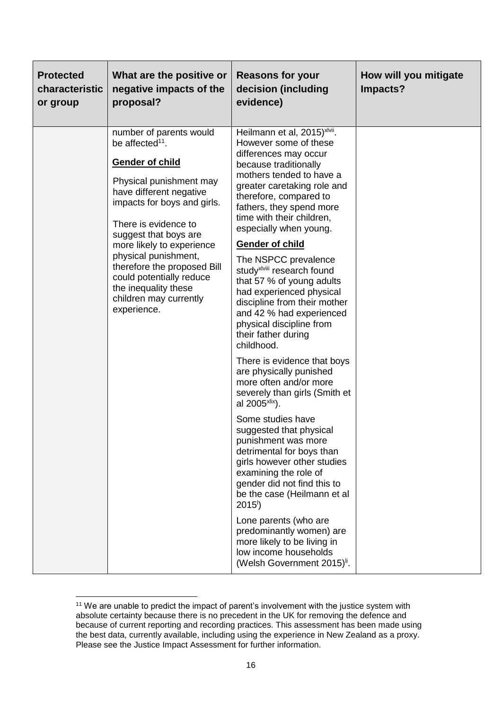| <b>Protected</b><br>characteristic<br>or group | What are the positive or<br>negative impacts of the<br>proposal?                                                                                                                                                                                                                                                                                                                                        | <b>Reasons for your</b><br>decision (including<br>evidence)                                                                                                                                                                                                                                                                                                                                                                                                                                                                                                                                                                                                                                                                                                                                                                                                                                                                                                         | How will you mitigate<br>Impacts? |
|------------------------------------------------|---------------------------------------------------------------------------------------------------------------------------------------------------------------------------------------------------------------------------------------------------------------------------------------------------------------------------------------------------------------------------------------------------------|---------------------------------------------------------------------------------------------------------------------------------------------------------------------------------------------------------------------------------------------------------------------------------------------------------------------------------------------------------------------------------------------------------------------------------------------------------------------------------------------------------------------------------------------------------------------------------------------------------------------------------------------------------------------------------------------------------------------------------------------------------------------------------------------------------------------------------------------------------------------------------------------------------------------------------------------------------------------|-----------------------------------|
|                                                | number of parents would<br>be affected <sup>11</sup> .<br><b>Gender of child</b><br>Physical punishment may<br>have different negative<br>impacts for boys and girls.<br>There is evidence to<br>suggest that boys are<br>more likely to experience<br>physical punishment,<br>therefore the proposed Bill<br>could potentially reduce<br>the inequality these<br>children may currently<br>experience. | Heilmann et al, 2015) <sup>xlvii</sup> .<br>However some of these<br>differences may occur<br>because traditionally<br>mothers tended to have a<br>greater caretaking role and<br>therefore, compared to<br>fathers, they spend more<br>time with their children,<br>especially when young.<br><b>Gender of child</b><br>The NSPCC prevalence<br>study <sup>xlviii</sup> research found<br>that 57 % of young adults<br>had experienced physical<br>discipline from their mother<br>and 42 % had experienced<br>physical discipline from<br>their father during<br>childhood.<br>There is evidence that boys<br>are physically punished<br>more often and/or more<br>severely than girls (Smith et<br>al 2005 <sup>xlix</sup> ).<br>Some studies have<br>suggested that physical<br>punishment was more<br>detrimental for boys than<br>girls however other studies<br>examining the role of<br>gender did not find this to<br>be the case (Heilmann et al<br>2015' |                                   |
|                                                |                                                                                                                                                                                                                                                                                                                                                                                                         | Lone parents (who are<br>predominantly women) are<br>more likely to be living in<br>low income households<br>(Welsh Government 2015) <sup>ii</sup> .                                                                                                                                                                                                                                                                                                                                                                                                                                                                                                                                                                                                                                                                                                                                                                                                                |                                   |

<sup>&</sup>lt;sup>11</sup> We are unable to predict the impact of parent's involvement with the justice system with absolute certainty because there is no precedent in the UK for removing the defence and because of current reporting and recording practices. This assessment has been made using the best data, currently available, including using the experience in New Zealand as a proxy. Please see the Justice Impact Assessment for further information.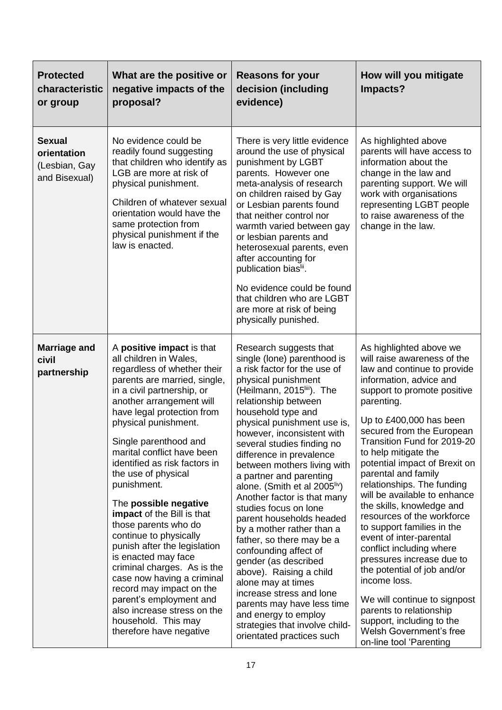| <b>Protected</b><br>characteristic<br>or group                 | What are the positive or<br>negative impacts of the<br>proposal?                                                                                                                                                                                                                                                                                                                                                                                                                                                                                                                                                                                                                                                                      | <b>Reasons for your</b><br>decision (including<br>evidence)                                                                                                                                                                                                                                                                                                                                                                                                                                                                                                                                                                                                                                                                                                                                                                        | How will you mitigate<br>Impacts?                                                                                                                                                                                                                                                                                                                                                                                                                                                                                                                                                                                                                                                                                                                                            |
|----------------------------------------------------------------|---------------------------------------------------------------------------------------------------------------------------------------------------------------------------------------------------------------------------------------------------------------------------------------------------------------------------------------------------------------------------------------------------------------------------------------------------------------------------------------------------------------------------------------------------------------------------------------------------------------------------------------------------------------------------------------------------------------------------------------|------------------------------------------------------------------------------------------------------------------------------------------------------------------------------------------------------------------------------------------------------------------------------------------------------------------------------------------------------------------------------------------------------------------------------------------------------------------------------------------------------------------------------------------------------------------------------------------------------------------------------------------------------------------------------------------------------------------------------------------------------------------------------------------------------------------------------------|------------------------------------------------------------------------------------------------------------------------------------------------------------------------------------------------------------------------------------------------------------------------------------------------------------------------------------------------------------------------------------------------------------------------------------------------------------------------------------------------------------------------------------------------------------------------------------------------------------------------------------------------------------------------------------------------------------------------------------------------------------------------------|
| <b>Sexual</b><br>orientation<br>(Lesbian, Gay<br>and Bisexual) | No evidence could be<br>readily found suggesting<br>that children who identify as<br>LGB are more at risk of<br>physical punishment.<br>Children of whatever sexual<br>orientation would have the<br>same protection from<br>physical punishment if the<br>law is enacted.                                                                                                                                                                                                                                                                                                                                                                                                                                                            | There is very little evidence<br>around the use of physical<br>punishment by LGBT<br>parents. However one<br>meta-analysis of research<br>on children raised by Gay<br>or Lesbian parents found<br>that neither control nor<br>warmth varied between gay<br>or lesbian parents and<br>heterosexual parents, even<br>after accounting for<br>publication bias <sup>lii</sup> .<br>No evidence could be found<br>that children who are LGBT<br>are more at risk of being<br>physically punished.                                                                                                                                                                                                                                                                                                                                     | As highlighted above<br>parents will have access to<br>information about the<br>change in the law and<br>parenting support. We will<br>work with organisations<br>representing LGBT people<br>to raise awareness of the<br>change in the law.                                                                                                                                                                                                                                                                                                                                                                                                                                                                                                                                |
| <b>Marriage and</b><br>civil<br>partnership                    | A positive impact is that<br>all children in Wales,<br>regardless of whether their<br>parents are married, single,<br>in a civil partnership, or<br>another arrangement will<br>have legal protection from<br>physical punishment.<br>Single parenthood and<br>marital conflict have been<br>identified as risk factors in<br>the use of physical<br>punishment.<br>The possible negative<br>impact of the Bill is that<br>those parents who do<br>continue to physically<br>punish after the legislation<br>is enacted may face<br>criminal charges. As is the<br>case now having a criminal<br>record may impact on the<br>parent's employment and<br>also increase stress on the<br>household. This may<br>therefore have negative | Research suggests that<br>single (lone) parenthood is<br>a risk factor for the use of<br>physical punishment<br>(Heilmann, 2015 <sup>iii</sup> ). The<br>relationship between<br>household type and<br>physical punishment use is,<br>however, inconsistent with<br>several studies finding no<br>difference in prevalence<br>between mothers living with<br>a partner and parenting<br>alone. (Smith et al 2005 <sup>liv</sup> )<br>Another factor is that many<br>studies focus on lone<br>parent households headed<br>by a mother rather than a<br>father, so there may be a<br>confounding affect of<br>gender (as described<br>above). Raising a child<br>alone may at times<br>increase stress and lone<br>parents may have less time<br>and energy to employ<br>strategies that involve child-<br>orientated practices such | As highlighted above we<br>will raise awareness of the<br>law and continue to provide<br>information, advice and<br>support to promote positive<br>parenting.<br>Up to £400,000 has been<br>secured from the European<br>Transition Fund for 2019-20<br>to help mitigate the<br>potential impact of Brexit on<br>parental and family<br>relationships. The funding<br>will be available to enhance<br>the skills, knowledge and<br>resources of the workforce<br>to support families in the<br>event of inter-parental<br>conflict including where<br>pressures increase due to<br>the potential of job and/or<br>income loss.<br>We will continue to signpost<br>parents to relationship<br>support, including to the<br>Welsh Government's free<br>on-line tool 'Parenting |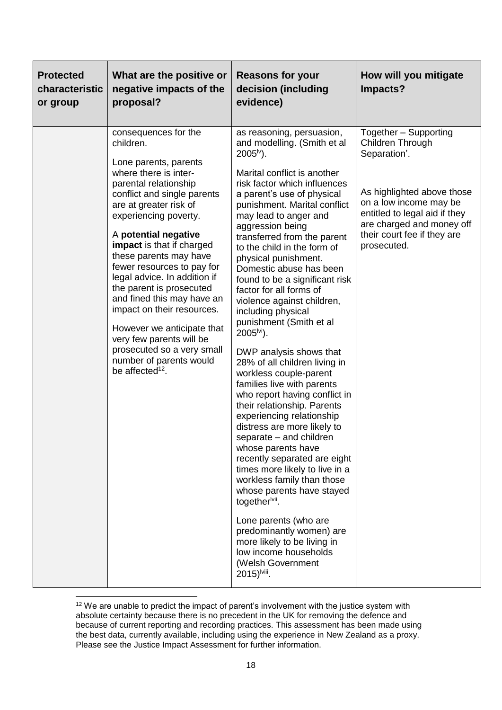| <b>Protected</b><br>characteristic<br>or group | What are the positive or<br>negative impacts of the<br>proposal?                                                                                                                                                                                                                                                                                                                                                                                                                                                                                                                      | <b>Reasons for your</b><br>decision (including<br>evidence)                                                                                                                                                                                                                                                                                                                                                                                                                                                                                                                                                                                                                                                                                                                                                                                                                                                                                                                                                                                                                                                                                                           | How will you mitigate<br>Impacts?                                                                                                                                                                                             |
|------------------------------------------------|---------------------------------------------------------------------------------------------------------------------------------------------------------------------------------------------------------------------------------------------------------------------------------------------------------------------------------------------------------------------------------------------------------------------------------------------------------------------------------------------------------------------------------------------------------------------------------------|-----------------------------------------------------------------------------------------------------------------------------------------------------------------------------------------------------------------------------------------------------------------------------------------------------------------------------------------------------------------------------------------------------------------------------------------------------------------------------------------------------------------------------------------------------------------------------------------------------------------------------------------------------------------------------------------------------------------------------------------------------------------------------------------------------------------------------------------------------------------------------------------------------------------------------------------------------------------------------------------------------------------------------------------------------------------------------------------------------------------------------------------------------------------------|-------------------------------------------------------------------------------------------------------------------------------------------------------------------------------------------------------------------------------|
|                                                | consequences for the<br>children.<br>Lone parents, parents<br>where there is inter-<br>parental relationship<br>conflict and single parents<br>are at greater risk of<br>experiencing poverty.<br>A potential negative<br>impact is that if charged<br>these parents may have<br>fewer resources to pay for<br>legal advice. In addition if<br>the parent is prosecuted<br>and fined this may have an<br>impact on their resources.<br>However we anticipate that<br>very few parents will be<br>prosecuted so a very small<br>number of parents would<br>be affected <sup>12</sup> . | as reasoning, persuasion,<br>and modelling. (Smith et al<br>$2005^{\nu}$ ).<br>Marital conflict is another<br>risk factor which influences<br>a parent's use of physical<br>punishment. Marital conflict<br>may lead to anger and<br>aggression being<br>transferred from the parent<br>to the child in the form of<br>physical punishment.<br>Domestic abuse has been<br>found to be a significant risk<br>factor for all forms of<br>violence against children,<br>including physical<br>punishment (Smith et al<br>$2005^{\text{bi}}$ ).<br>DWP analysis shows that<br>28% of all children living in<br>workless couple-parent<br>families live with parents<br>who report having conflict in<br>their relationship. Parents<br>experiencing relationship<br>distress are more likely to<br>separate - and children<br>whose parents have<br>recently separated are eight<br>times more likely to live in a<br>workless family than those<br>whose parents have stayed<br>together <sup>lvii</sup> .<br>Lone parents (who are<br>predominantly women) are<br>more likely to be living in<br>low income households<br>(Welsh Government<br>2015) <sup>Iviii</sup> . | Together - Supporting<br>Children Through<br>Separation'.<br>As highlighted above those<br>on a low income may be<br>entitled to legal aid if they<br>are charged and money off<br>their court fee if they are<br>prosecuted. |

 $12$  We are unable to predict the impact of parent's involvement with the justice system with absolute certainty because there is no precedent in the UK for removing the defence and because of current reporting and recording practices. This assessment has been made using the best data, currently available, including using the experience in New Zealand as a proxy. Please see the Justice Impact Assessment for further information.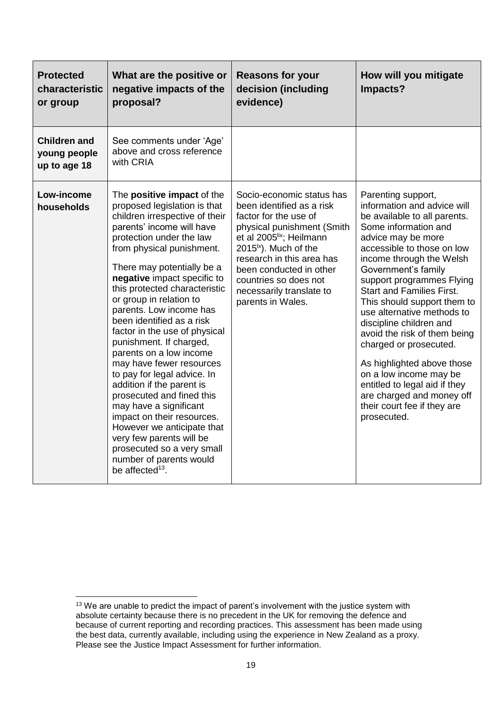| <b>Protected</b><br>characteristic<br>or group      | What are the positive or<br>negative impacts of the<br>proposal?                                                                                                                                                                                                                                                                                                                                                                                                                                                                                                                                                                                                                                                                                                                          | <b>Reasons for your</b><br>decision (including<br>evidence)                                                                                                                                                                                                                                                                  | How will you mitigate<br>Impacts?                                                                                                                                                                                                                                                                                                                                                                                                                                                                                                                                                                       |
|-----------------------------------------------------|-------------------------------------------------------------------------------------------------------------------------------------------------------------------------------------------------------------------------------------------------------------------------------------------------------------------------------------------------------------------------------------------------------------------------------------------------------------------------------------------------------------------------------------------------------------------------------------------------------------------------------------------------------------------------------------------------------------------------------------------------------------------------------------------|------------------------------------------------------------------------------------------------------------------------------------------------------------------------------------------------------------------------------------------------------------------------------------------------------------------------------|---------------------------------------------------------------------------------------------------------------------------------------------------------------------------------------------------------------------------------------------------------------------------------------------------------------------------------------------------------------------------------------------------------------------------------------------------------------------------------------------------------------------------------------------------------------------------------------------------------|
| <b>Children and</b><br>young people<br>up to age 18 | See comments under 'Age'<br>above and cross reference<br>with CRIA                                                                                                                                                                                                                                                                                                                                                                                                                                                                                                                                                                                                                                                                                                                        |                                                                                                                                                                                                                                                                                                                              |                                                                                                                                                                                                                                                                                                                                                                                                                                                                                                                                                                                                         |
| Low-income<br>households                            | The positive impact of the<br>proposed legislation is that<br>children irrespective of their<br>parents' income will have<br>protection under the law<br>from physical punishment.<br>There may potentially be a<br>negative impact specific to<br>this protected characteristic<br>or group in relation to<br>parents. Low income has<br>been identified as a risk<br>factor in the use of physical<br>punishment. If charged,<br>parents on a low income<br>may have fewer resources<br>to pay for legal advice. In<br>addition if the parent is<br>prosecuted and fined this<br>may have a significant<br>impact on their resources.<br>However we anticipate that<br>very few parents will be<br>prosecuted so a very small<br>number of parents would<br>be affected <sup>13</sup> . | Socio-economic status has<br>been identified as a risk<br>factor for the use of<br>physical punishment (Smith<br>et al 2005 <sup>lix</sup> ; Heilmann<br>2015 <sup> x</sup> ). Much of the<br>research in this area has<br>been conducted in other<br>countries so does not<br>necessarily translate to<br>parents in Wales. | Parenting support,<br>information and advice will<br>be available to all parents.<br>Some information and<br>advice may be more<br>accessible to those on low<br>income through the Welsh<br>Government's family<br>support programmes Flying<br><b>Start and Families First.</b><br>This should support them to<br>use alternative methods to<br>discipline children and<br>avoid the risk of them being<br>charged or prosecuted.<br>As highlighted above those<br>on a low income may be<br>entitled to legal aid if they<br>are charged and money off<br>their court fee if they are<br>prosecuted. |

**<sup>.</sup>**  $13$  We are unable to predict the impact of parent's involvement with the justice system with absolute certainty because there is no precedent in the UK for removing the defence and because of current reporting and recording practices. This assessment has been made using the best data, currently available, including using the experience in New Zealand as a proxy. Please see the Justice Impact Assessment for further information.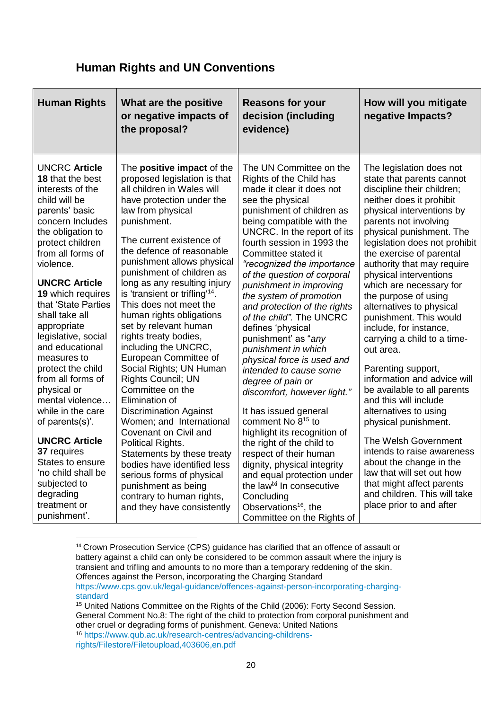## **Human Rights and UN Conventions**

| <b>Human Rights</b>                                                                                                                                                                                                                                                                                                                                                                                                                                                                                                                                                                                                            | What are the positive<br>or negative impacts of<br>the proposal?                                                                                                                                                                                                                                                                                                                                                                                                                                                                                                                                                                                                                                                                                                                                                                                                                                  | <b>Reasons for your</b><br>decision (including<br>evidence)                                                                                                                                                                                                                                                                                                                                                                                                                                                                                                                                                                                                                                                                                                                                                                                                                                                                                            | How will you mitigate<br>negative Impacts?                                                                                                                                                                                                                                                                                                                                                                                                                                                                                                                                                                                                                                                                                                                                                                                                                                 |
|--------------------------------------------------------------------------------------------------------------------------------------------------------------------------------------------------------------------------------------------------------------------------------------------------------------------------------------------------------------------------------------------------------------------------------------------------------------------------------------------------------------------------------------------------------------------------------------------------------------------------------|---------------------------------------------------------------------------------------------------------------------------------------------------------------------------------------------------------------------------------------------------------------------------------------------------------------------------------------------------------------------------------------------------------------------------------------------------------------------------------------------------------------------------------------------------------------------------------------------------------------------------------------------------------------------------------------------------------------------------------------------------------------------------------------------------------------------------------------------------------------------------------------------------|--------------------------------------------------------------------------------------------------------------------------------------------------------------------------------------------------------------------------------------------------------------------------------------------------------------------------------------------------------------------------------------------------------------------------------------------------------------------------------------------------------------------------------------------------------------------------------------------------------------------------------------------------------------------------------------------------------------------------------------------------------------------------------------------------------------------------------------------------------------------------------------------------------------------------------------------------------|----------------------------------------------------------------------------------------------------------------------------------------------------------------------------------------------------------------------------------------------------------------------------------------------------------------------------------------------------------------------------------------------------------------------------------------------------------------------------------------------------------------------------------------------------------------------------------------------------------------------------------------------------------------------------------------------------------------------------------------------------------------------------------------------------------------------------------------------------------------------------|
| <b>UNCRC Article</b><br>18 that the best<br>interests of the<br>child will be<br>parents' basic<br>concern Includes<br>the obligation to<br>protect children<br>from all forms of<br>violence.<br><b>UNCRC Article</b><br>19 which requires<br>that 'State Parties<br>shall take all<br>appropriate<br>legislative, social<br>and educational<br>measures to<br>protect the child<br>from all forms of<br>physical or<br>mental violence<br>while in the care<br>of parents(s)'.<br><b>UNCRC Article</b><br>37 requires<br>States to ensure<br>'no child shall be<br>subjected to<br>degrading<br>treatment or<br>punishment'. | The positive impact of the<br>proposed legislation is that<br>all children in Wales will<br>have protection under the<br>law from physical<br>punishment.<br>The current existence of<br>the defence of reasonable<br>punishment allows physical<br>punishment of children as<br>long as any resulting injury<br>is 'transient or trifling <sup>14</sup> .<br>This does not meet the<br>human rights obligations<br>set by relevant human<br>rights treaty bodies,<br>including the UNCRC,<br>European Committee of<br>Social Rights; UN Human<br>Rights Council; UN<br>Committee on the<br>Elimination of<br><b>Discrimination Against</b><br>Women; and International<br>Covenant on Civil and<br>Political Rights.<br>Statements by these treaty<br>bodies have identified less<br>serious forms of physical<br>punishment as being<br>contrary to human rights,<br>and they have consistently | The UN Committee on the<br>Rights of the Child has<br>made it clear it does not<br>see the physical<br>punishment of children as<br>being compatible with the<br>UNCRC. In the report of its<br>fourth session in 1993 the<br>Committee stated it<br>"recognized the importance<br>of the question of corporal<br>punishment in improving<br>the system of promotion<br>and protection of the rights<br>of the child". The UNCRC<br>defines 'physical<br>punishment' as "any<br>punishment in which<br>physical force is used and<br>intended to cause some<br>degree of pain or<br>discomfort, however light."<br>It has issued general<br>comment No 8 <sup>15</sup> to<br>highlight its recognition of<br>the right of the child to<br>respect of their human<br>dignity, physical integrity<br>and equal protection under<br>the law <sup> xi</sup> In consecutive<br>Concluding<br>Observations <sup>16</sup> , the<br>Committee on the Rights of | The legislation does not<br>state that parents cannot<br>discipline their children;<br>neither does it prohibit<br>physical interventions by<br>parents not involving<br>physical punishment. The<br>legislation does not prohibit<br>the exercise of parental<br>authority that may require<br>physical interventions<br>which are necessary for<br>the purpose of using<br>alternatives to physical<br>punishment. This would<br>include, for instance,<br>carrying a child to a time-<br>out area.<br>Parenting support,<br>information and advice will<br>be available to all parents<br>and this will include<br>alternatives to using<br>physical punishment.<br>The Welsh Government<br>intends to raise awareness<br>about the change in the<br>law that will set out how<br>that might affect parents<br>and children. This will take<br>place prior to and after |

<sup>&</sup>lt;sup>14</sup> Crown Prosecution Service (CPS) guidance has clarified that an offence of assault or battery against a child can only be considered to be common assault where the injury is transient and trifling and amounts to no more than a temporary reddening of the skin. Offences against the Person, incorporating the Charging Standard [https://www.cps.gov.uk/legal-guidance/offences-against-person-incorporating-charging-](https://www.cps.gov.uk/legal-guidance/offences-against-person-incorporating-charging-standard)

[standard](https://www.cps.gov.uk/legal-guidance/offences-against-person-incorporating-charging-standard)

<sup>15</sup> United Nations Committee on the Rights of the Child (2006): Forty Second Session. General Comment No.8: The right of the child to protection from corporal punishment and other cruel or degrading forms of punishment. Geneva: United Nations <sup>16</sup> [https://www.qub.ac.uk/research-centres/advancing-childrens-](https://www.qub.ac.uk/research-centres/advancing-childrens-rights/Filestore/Filetoupload,403606,en.pdf)

[rights/Filestore/Filetoupload,403606,en.pdf](https://www.qub.ac.uk/research-centres/advancing-childrens-rights/Filestore/Filetoupload,403606,en.pdf)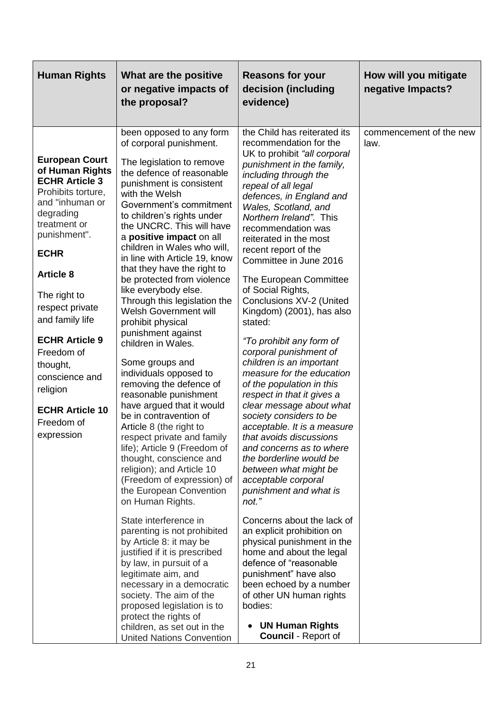| <b>Human Rights</b>                                                                                                                                                                                                                                                                                                                                                                     | What are the positive<br>or negative impacts of<br>the proposal?                                                                                                                                                                                                                                                                                                                                                                                                                                                                                                                                                                                                                                                                                                                                                                                                                                                                                          | <b>Reasons for your</b><br>decision (including<br>evidence)                                                                                                                                                                                                                                                                                                                                                                                                                                                                                                                                                                                                                                                                                                                                                                                                                                                  | How will you mitigate<br>negative Impacts? |
|-----------------------------------------------------------------------------------------------------------------------------------------------------------------------------------------------------------------------------------------------------------------------------------------------------------------------------------------------------------------------------------------|-----------------------------------------------------------------------------------------------------------------------------------------------------------------------------------------------------------------------------------------------------------------------------------------------------------------------------------------------------------------------------------------------------------------------------------------------------------------------------------------------------------------------------------------------------------------------------------------------------------------------------------------------------------------------------------------------------------------------------------------------------------------------------------------------------------------------------------------------------------------------------------------------------------------------------------------------------------|--------------------------------------------------------------------------------------------------------------------------------------------------------------------------------------------------------------------------------------------------------------------------------------------------------------------------------------------------------------------------------------------------------------------------------------------------------------------------------------------------------------------------------------------------------------------------------------------------------------------------------------------------------------------------------------------------------------------------------------------------------------------------------------------------------------------------------------------------------------------------------------------------------------|--------------------------------------------|
| <b>European Court</b><br>of Human Rights<br><b>ECHR Article 3</b><br>Prohibits torture,<br>and "inhuman or<br>degrading<br>treatment or<br>punishment".<br><b>ECHR</b><br><b>Article 8</b><br>The right to<br>respect private<br>and family life<br><b>ECHR Article 9</b><br>Freedom of<br>thought,<br>conscience and<br>religion<br><b>ECHR Article 10</b><br>Freedom of<br>expression | been opposed to any form<br>of corporal punishment.<br>The legislation to remove<br>the defence of reasonable<br>punishment is consistent<br>with the Welsh<br>Government's commitment<br>to children's rights under<br>the UNCRC. This will have<br>a positive impact on all<br>children in Wales who will,<br>in line with Article 19, know<br>that they have the right to<br>be protected from violence<br>like everybody else.<br>Through this legislation the<br><b>Welsh Government will</b><br>prohibit physical<br>punishment against<br>children in Wales.<br>Some groups and<br>individuals opposed to<br>removing the defence of<br>reasonable punishment<br>have argued that it would<br>be in contravention of<br>Article 8 (the right to<br>respect private and family<br>life); Article 9 (Freedom of<br>thought, conscience and<br>religion); and Article 10<br>(Freedom of expression) of<br>the European Convention<br>on Human Rights. | the Child has reiterated its<br>recommendation for the<br>UK to prohibit "all corporal<br>punishment in the family,<br>including through the<br>repeal of all legal<br>defences, in England and<br>Wales, Scotland, and<br>Northern Ireland". This<br>recommendation was<br>reiterated in the most<br>recent report of the<br>Committee in June 2016<br>The European Committee<br>of Social Rights,<br>Conclusions XV-2 (United<br>Kingdom) (2001), has also<br>stated:<br>"To prohibit any form of<br>corporal punishment of<br>children is an important<br>measure for the education<br>of the population in this<br>respect in that it gives a<br>clear message about what<br>society considers to be<br>acceptable. It is a measure<br>that avoids discussions<br>and concerns as to where<br>the borderline would be<br>between what might be<br>acceptable corporal<br>punishment and what is<br>not." | commencement of the new<br>law.            |
|                                                                                                                                                                                                                                                                                                                                                                                         | State interference in<br>parenting is not prohibited<br>by Article 8: it may be<br>justified if it is prescribed<br>by law, in pursuit of a<br>legitimate aim, and<br>necessary in a democratic<br>society. The aim of the<br>proposed legislation is to<br>protect the rights of<br>children, as set out in the                                                                                                                                                                                                                                                                                                                                                                                                                                                                                                                                                                                                                                          | Concerns about the lack of<br>an explicit prohibition on<br>physical punishment in the<br>home and about the legal<br>defence of "reasonable<br>punishment" have also<br>been echoed by a number<br>of other UN human rights<br>bodies:<br><b>UN Human Rights</b>                                                                                                                                                                                                                                                                                                                                                                                                                                                                                                                                                                                                                                            |                                            |
|                                                                                                                                                                                                                                                                                                                                                                                         | <b>United Nations Convention</b>                                                                                                                                                                                                                                                                                                                                                                                                                                                                                                                                                                                                                                                                                                                                                                                                                                                                                                                          | <b>Council - Report of</b>                                                                                                                                                                                                                                                                                                                                                                                                                                                                                                                                                                                                                                                                                                                                                                                                                                                                                   |                                            |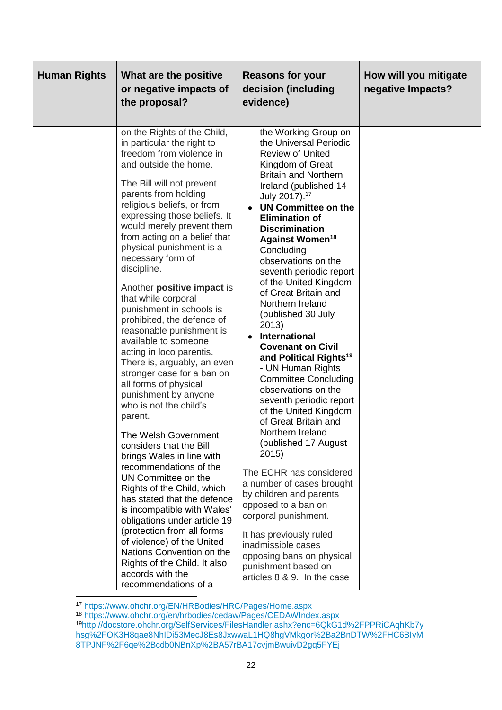| <b>Human Rights</b> | What are the positive<br>or negative impacts of<br>the proposal?                                                                                                                                                                                                                                                                                                                                                                                                                                                                                                                                                                                                                                                                                                                                                                                                                                                                                                                                                                                                                                                                                   | <b>Reasons for your</b><br>decision (including<br>evidence)                                                                                                                                                                                                                                                                                                                                                                                                                                                                                                                                                                                                                                                                                                                                                                                                                                                                                                                                                                                  | How will you mitigate<br>negative Impacts? |
|---------------------|----------------------------------------------------------------------------------------------------------------------------------------------------------------------------------------------------------------------------------------------------------------------------------------------------------------------------------------------------------------------------------------------------------------------------------------------------------------------------------------------------------------------------------------------------------------------------------------------------------------------------------------------------------------------------------------------------------------------------------------------------------------------------------------------------------------------------------------------------------------------------------------------------------------------------------------------------------------------------------------------------------------------------------------------------------------------------------------------------------------------------------------------------|----------------------------------------------------------------------------------------------------------------------------------------------------------------------------------------------------------------------------------------------------------------------------------------------------------------------------------------------------------------------------------------------------------------------------------------------------------------------------------------------------------------------------------------------------------------------------------------------------------------------------------------------------------------------------------------------------------------------------------------------------------------------------------------------------------------------------------------------------------------------------------------------------------------------------------------------------------------------------------------------------------------------------------------------|--------------------------------------------|
|                     | on the Rights of the Child,<br>in particular the right to<br>freedom from violence in<br>and outside the home.<br>The Bill will not prevent<br>parents from holding<br>religious beliefs, or from<br>expressing those beliefs. It<br>would merely prevent them<br>from acting on a belief that<br>physical punishment is a<br>necessary form of<br>discipline.<br>Another positive impact is<br>that while corporal<br>punishment in schools is<br>prohibited, the defence of<br>reasonable punishment is<br>available to someone<br>acting in loco parentis.<br>There is, arguably, an even<br>stronger case for a ban on<br>all forms of physical<br>punishment by anyone<br>who is not the child's<br>parent.<br>The Welsh Government<br>considers that the Bill<br>brings Wales in line with<br>recommendations of the<br>UN Committee on the<br>Rights of the Child, which<br>has stated that the defence<br>is incompatible with Wales'<br>obligations under article 19<br>(protection from all forms<br>of violence) of the United<br>Nations Convention on the<br>Rights of the Child. It also<br>accords with the<br>recommendations of a | the Working Group on<br>the Universal Periodic<br><b>Review of United</b><br>Kingdom of Great<br><b>Britain and Northern</b><br>Ireland (published 14<br>July 2017). <sup>17</sup><br>UN Committee on the<br><b>Elimination of</b><br><b>Discrimination</b><br>Against Women <sup>18</sup> -<br>Concluding<br>observations on the<br>seventh periodic report<br>of the United Kingdom<br>of Great Britain and<br>Northern Ireland<br>(published 30 July<br>2013)<br><b>International</b><br><b>Covenant on Civil</b><br>and Political Rights <sup>19</sup><br>- UN Human Rights<br><b>Committee Concluding</b><br>observations on the<br>seventh periodic report<br>of the United Kingdom<br>of Great Britain and<br>Northern Ireland<br>(published 17 August<br>2015)<br>The ECHR has considered<br>a number of cases brought<br>by children and parents<br>opposed to a ban on<br>corporal punishment.<br>It has previously ruled<br>inadmissible cases<br>opposing bans on physical<br>punishment based on<br>articles 8 & 9. In the case |                                            |

<sup>17</sup> <https://www.ohchr.org/EN/HRBodies/HRC/Pages/Home.aspx>

<sup>18</sup> <https://www.ohchr.org/en/hrbodies/cedaw/Pages/CEDAWIndex.aspx> <sup>19</sup>[http://docstore.ohchr.org/SelfServices/FilesHandler.ashx?enc=6QkG1d%2FPPRiCAqhKb7y](http://docstore.ohchr.org/SelfServices/FilesHandler.ashx?enc=6QkG1d%2FPPRiCAqhKb7yhsg%2FOK3H8qae8NhIDi53MecJ8Es8JxwwaL1HQ8hgVMkgor%2Ba2BnDTW%2FHC6BIyM8TPJNF%2F6qe%2Bcdb0NBnXp%2BA57rBA17cvjmBwuivD2gq5FYEj) [hsg%2FOK3H8qae8NhIDi53MecJ8Es8JxwwaL1HQ8hgVMkgor%2Ba2BnDTW%2FHC6BIyM](http://docstore.ohchr.org/SelfServices/FilesHandler.ashx?enc=6QkG1d%2FPPRiCAqhKb7yhsg%2FOK3H8qae8NhIDi53MecJ8Es8JxwwaL1HQ8hgVMkgor%2Ba2BnDTW%2FHC6BIyM8TPJNF%2F6qe%2Bcdb0NBnXp%2BA57rBA17cvjmBwuivD2gq5FYEj) [8TPJNF%2F6qe%2Bcdb0NBnXp%2BA57rBA17cvjmBwuivD2gq5FYEj](http://docstore.ohchr.org/SelfServices/FilesHandler.ashx?enc=6QkG1d%2FPPRiCAqhKb7yhsg%2FOK3H8qae8NhIDi53MecJ8Es8JxwwaL1HQ8hgVMkgor%2Ba2BnDTW%2FHC6BIyM8TPJNF%2F6qe%2Bcdb0NBnXp%2BA57rBA17cvjmBwuivD2gq5FYEj)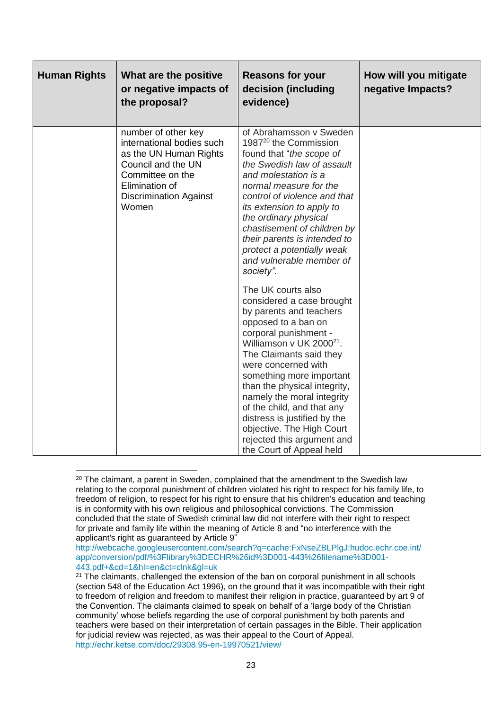| <b>Human Rights</b> | What are the positive<br>or negative impacts of<br>the proposal?                                                                                                                 | <b>Reasons for your</b><br>decision (including<br>evidence)                                                                                                                                                                                                                                                                                                                                                                                                         | How will you mitigate<br>negative Impacts? |
|---------------------|----------------------------------------------------------------------------------------------------------------------------------------------------------------------------------|---------------------------------------------------------------------------------------------------------------------------------------------------------------------------------------------------------------------------------------------------------------------------------------------------------------------------------------------------------------------------------------------------------------------------------------------------------------------|--------------------------------------------|
|                     | number of other key<br>international bodies such<br>as the UN Human Rights<br>Council and the UN<br>Committee on the<br>Elimination of<br><b>Discrimination Against</b><br>Women | of Abrahamsson v Sweden<br>1987 <sup>20</sup> the Commission<br>found that "the scope of<br>the Swedish law of assault<br>and molestation is a<br>normal measure for the<br>control of violence and that<br>its extension to apply to<br>the ordinary physical<br>chastisement of children by<br>their parents is intended to<br>protect a potentially weak<br>and vulnerable member of<br>society".                                                                |                                            |
|                     |                                                                                                                                                                                  | The UK courts also<br>considered a case brought<br>by parents and teachers<br>opposed to a ban on<br>corporal punishment -<br>Williamson v UK 2000 <sup>21</sup> .<br>The Claimants said they<br>were concerned with<br>something more important<br>than the physical integrity,<br>namely the moral integrity<br>of the child, and that any<br>distress is justified by the<br>objective. The High Court<br>rejected this argument and<br>the Court of Appeal held |                                            |

**<sup>.</sup>**  $20$  The claimant, a parent in Sweden, complained that the amendment to the Swedish law relating to the corporal punishment of children violated his right to respect for his family life, to freedom of religion, to respect for his right to ensure that his children's education and teaching is in conformity with his own religious and philosophical convictions. The Commission concluded that the state of Swedish criminal law did not interfere with their right to respect for private and family life within the meaning of Article 8 and "no interference with the applicant's right as guaranteed by Article 9"

[http://webcache.googleusercontent.com/search?q=cache:FxNseZBLPlgJ:hudoc.echr.coe.int/](http://webcache.googleusercontent.com/search?q=cache:FxNseZBLPlgJ:hudoc.echr.coe.int/app/conversion/pdf/%3Flibrary%3DECHR%26id%3D001-443%26filename%3D001-443.pdf+&cd=1&hl=en&ct=clnk&gl=uk) [app/conversion/pdf/%3Flibrary%3DECHR%26id%3D001-443%26filename%3D001-](http://webcache.googleusercontent.com/search?q=cache:FxNseZBLPlgJ:hudoc.echr.coe.int/app/conversion/pdf/%3Flibrary%3DECHR%26id%3D001-443%26filename%3D001-443.pdf+&cd=1&hl=en&ct=clnk&gl=uk) [443.pdf+&cd=1&hl=en&ct=clnk&gl=uk](http://webcache.googleusercontent.com/search?q=cache:FxNseZBLPlgJ:hudoc.echr.coe.int/app/conversion/pdf/%3Flibrary%3DECHR%26id%3D001-443%26filename%3D001-443.pdf+&cd=1&hl=en&ct=clnk&gl=uk)

<sup>&</sup>lt;sup>21</sup> The claimants, challenged the extension of the ban on corporal punishment in all schools (section 548 of the Education Act 1996), on the ground that it was incompatible with their right to freedom of religion and freedom to manifest their religion in practice, guaranteed by art 9 of the Convention. The claimants claimed to speak on behalf of a 'large body of the Christian community' whose beliefs regarding the use of corporal punishment by both parents and teachers were based on their interpretation of certain passages in the Bible. Their application for judicial review was rejected, as was their appeal to the Court of Appeal. <http://echr.ketse.com/doc/29308.95-en-19970521/view/>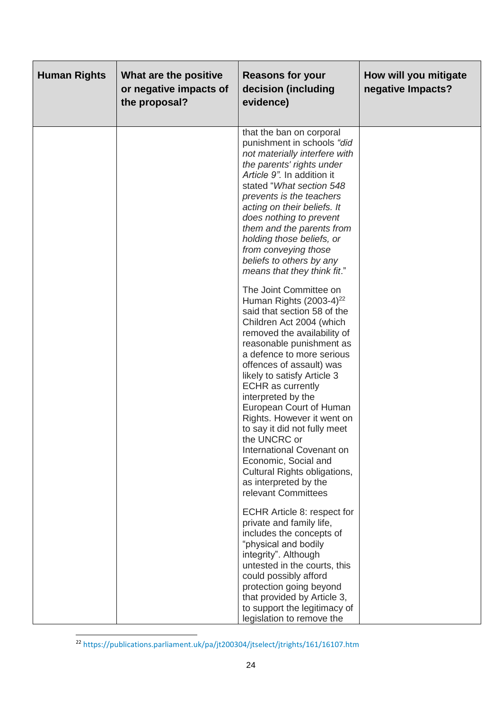| <b>Human Rights</b> | What are the positive<br>or negative impacts of<br>the proposal? | <b>Reasons for your</b><br>decision (including<br>evidence)                                                                                                                                                                                                                                                                                                                                                                                                                                                                                                                                                                                                                                                                                                                                                                                          | How will you mitigate<br>negative Impacts? |
|---------------------|------------------------------------------------------------------|------------------------------------------------------------------------------------------------------------------------------------------------------------------------------------------------------------------------------------------------------------------------------------------------------------------------------------------------------------------------------------------------------------------------------------------------------------------------------------------------------------------------------------------------------------------------------------------------------------------------------------------------------------------------------------------------------------------------------------------------------------------------------------------------------------------------------------------------------|--------------------------------------------|
|                     |                                                                  | that the ban on corporal<br>punishment in schools "did<br>not materially interfere with<br>the parents' rights under<br>Article 9". In addition it<br>stated "What section 548<br>prevents is the teachers<br>acting on their beliefs. It<br>does nothing to prevent<br>them and the parents from<br>holding those beliefs, or<br>from conveying those<br>beliefs to others by any<br>means that they think fit."<br>The Joint Committee on<br>Human Rights $(2003-4)^{22}$<br>said that section 58 of the<br>Children Act 2004 (which<br>removed the availability of<br>reasonable punishment as<br>a defence to more serious<br>offences of assault) was<br>likely to satisfy Article 3<br><b>ECHR</b> as currently<br>interpreted by the<br>European Court of Human<br>Rights. However it went on<br>to say it did not fully meet<br>the UNCRC or |                                            |
|                     |                                                                  | International Covenant on<br>Economic, Social and<br>Cultural Rights obligations,<br>as interpreted by the<br>relevant Committees                                                                                                                                                                                                                                                                                                                                                                                                                                                                                                                                                                                                                                                                                                                    |                                            |
|                     |                                                                  | ECHR Article 8: respect for<br>private and family life,<br>includes the concepts of<br>"physical and bodily<br>integrity". Although<br>untested in the courts, this<br>could possibly afford<br>protection going beyond<br>that provided by Article 3,<br>to support the legitimacy of<br>legislation to remove the                                                                                                                                                                                                                                                                                                                                                                                                                                                                                                                                  |                                            |

<sup>&</sup>lt;sup>22</sup> <https://publications.parliament.uk/pa/jt200304/jtselect/jtrights/161/16107.htm>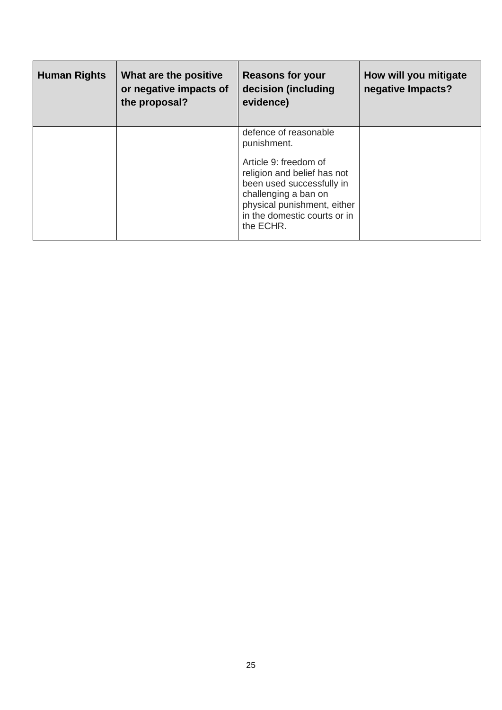| <b>Human Rights</b> | What are the positive<br>or negative impacts of<br>the proposal? | <b>Reasons for your</b><br>decision (including<br>evidence)                                                                                                                                                                   | How will you mitigate<br>negative Impacts? |
|---------------------|------------------------------------------------------------------|-------------------------------------------------------------------------------------------------------------------------------------------------------------------------------------------------------------------------------|--------------------------------------------|
|                     |                                                                  | defence of reasonable<br>punishment.<br>Article 9: freedom of<br>religion and belief has not<br>been used successfully in<br>challenging a ban on<br>physical punishment, either<br>in the domestic courts or in<br>the ECHR. |                                            |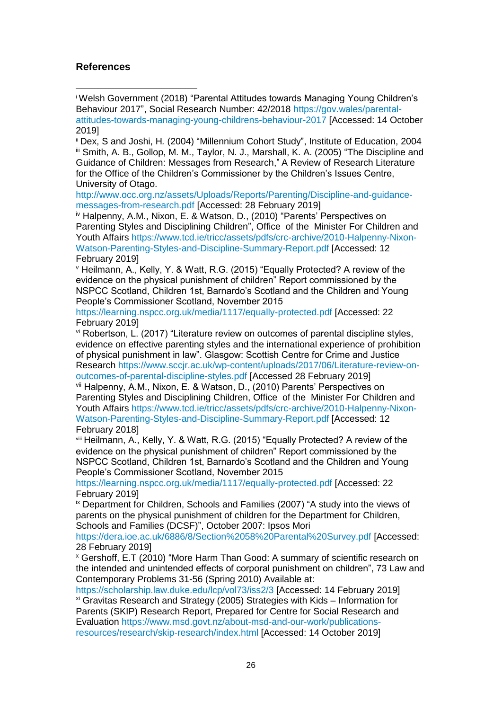#### **References**

**.** 

<sup>i</sup> Welsh Government (2018) "Parental Attitudes towards Managing Young Children's Behaviour 2017", Social Research Number: 42/2018 [https://gov.wales/parental](https://gov.wales/parental-attitudes-towards-managing-young-childrens-behaviour-2017)[attitudes-towards-managing-young-childrens-behaviour-2017](https://gov.wales/parental-attitudes-towards-managing-young-childrens-behaviour-2017) [Accessed: 14 October 2019]

ii Dex, S and Joshi, H*.* (2004) "Millennium Cohort Study", Institute of Education, 2004 iii Smith, A. B., Gollop, M. M., Taylor, N. J., Marshall, K. A. (2005) "The Discipline and Guidance of Children: Messages from Research," A Review of Research Literature for the Office of the Children's Commissioner by the Children's Issues Centre, University of Otago.

[http://www.occ.org.nz/assets/Uploads/Reports/Parenting/Discipline-and-guidance](http://www.occ.org.nz/assets/Uploads/Reports/Parenting/Discipline-and-guidance-messages-from-research.pdf)[messages-from-research.pdf](http://www.occ.org.nz/assets/Uploads/Reports/Parenting/Discipline-and-guidance-messages-from-research.pdf) [Accessed: 28 February 2019]

iv Halpenny, A.M., Nixon, E. & Watson, D., (2010) "Parents' Perspectives on Parenting Styles and Disciplining Children", Office of the Minister For Children and Youth Affairs [https://www.tcd.ie/tricc/assets/pdfs/crc-archive/2010-Halpenny-Nixon-](https://www.tcd.ie/tricc/assets/pdfs/crc-archive/2010-Halpenny-Nixon-Watson-Parenting-Styles-and-Discipline-Summary-Report.pdf)[Watson-Parenting-Styles-and-Discipline-Summary-Report.pdf](https://www.tcd.ie/tricc/assets/pdfs/crc-archive/2010-Halpenny-Nixon-Watson-Parenting-Styles-and-Discipline-Summary-Report.pdf) [Accessed: 12 February 2019]

<sup>v</sup> Heilmann, A., Kelly, Y. & Watt, R.G. (2015) "Equally Protected? A review of the evidence on the physical punishment of children" Report commissioned by the NSPCC Scotland, Children 1st, Barnardo's Scotland and the Children and Young People's Commissioner Scotland, November 2015

<https://learning.nspcc.org.uk/media/1117/equally-protected.pdf> [Accessed: 22 February 2019]

vi Robertson, L. (2017) "Literature review on outcomes of parental discipline styles, evidence on effective parenting styles and the international experience of prohibition of physical punishment in law". Glasgow: Scottish Centre for Crime and Justice

Research [https://www.sccjr.ac.uk/wp-content/uploads/2017/06/Literature-review-on](https://www.sccjr.ac.uk/wp-content/uploads/2017/06/Literature-review-on-outcomes-of-parental-discipline-styles.pdf)[outcomes-of-parental-discipline-styles.pdf](https://www.sccjr.ac.uk/wp-content/uploads/2017/06/Literature-review-on-outcomes-of-parental-discipline-styles.pdf) [Accessed 28 February 2019]

vii Halpenny, A.M., Nixon, E. & Watson, D., (2010) Parents' Perspectives on Parenting Styles and Disciplining Children, Office of the Minister For Children and Youth Affairs [https://www.tcd.ie/tricc/assets/pdfs/crc-archive/2010-Halpenny-Nixon-](https://www.tcd.ie/tricc/assets/pdfs/crc-archive/2010-Halpenny-Nixon-Watson-Parenting-Styles-and-Discipline-Summary-Report.pdf)[Watson-Parenting-Styles-and-Discipline-Summary-Report.pdf](https://www.tcd.ie/tricc/assets/pdfs/crc-archive/2010-Halpenny-Nixon-Watson-Parenting-Styles-and-Discipline-Summary-Report.pdf) [Accessed: 12 February 2018]

viii Heilmann, A., Kelly, Y. & Watt, R.G. (2015) "Equally Protected? A review of the evidence on the physical punishment of children" Report commissioned by the NSPCC Scotland, Children 1st, Barnardo's Scotland and the Children and Young People's Commissioner Scotland, November 2015

<https://learning.nspcc.org.uk/media/1117/equally-protected.pdf> [Accessed: 22 February 2019]

ix Department for Children, Schools and Families (2007) "A study into the views of parents on the physical punishment of children for the Department for Children, Schools and Families (DCSF)", October 2007: Ipsos Mori

<https://dera.ioe.ac.uk/6886/8/Section%2058%20Parental%20Survey.pdf> [Accessed: 28 February 2019]

<sup>x</sup> Gershoff, E.T (2010) "More Harm Than Good: A summary of scientific research on the intended and unintended effects of corporal punishment on children", 73 Law and Contemporary Problems 31-56 (Spring 2010) Available at:

<https://scholarship.law.duke.edu/lcp/vol73/iss2/3> [Accessed: 14 February 2019] xi Gravitas Research and Strategy (2005) Strategies with Kids – Information for Parents (SKIP) Research Report, Prepared for Centre for Social Research and Evaluation [https://www.msd.govt.nz/about-msd-and-our-work/publications](https://www.msd.govt.nz/about-msd-and-our-work/publications-resources/research/skip-research/index.html)[resources/research/skip-research/index.html](https://www.msd.govt.nz/about-msd-and-our-work/publications-resources/research/skip-research/index.html) [Accessed: 14 October 2019]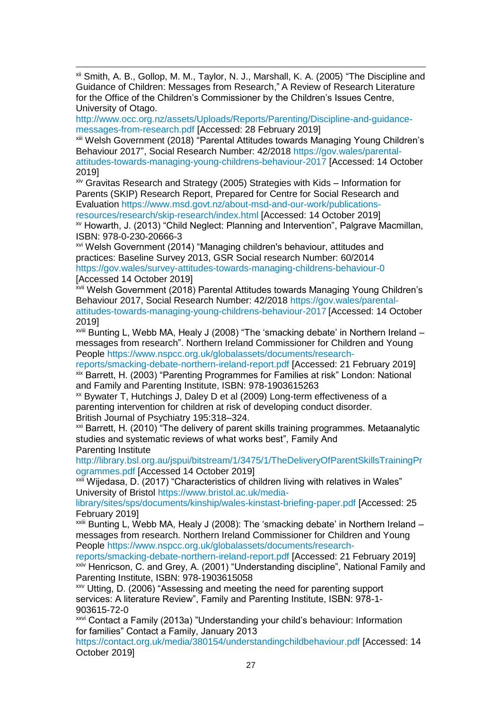**.** xii Smith, A. B., Gollop, M. M., Taylor, N. J., Marshall, K. A. (2005) "The Discipline and Guidance of Children: Messages from Research," A Review of Research Literature for the Office of the Children's Commissioner by the Children's Issues Centre, University of Otago.

[http://www.occ.org.nz/assets/Uploads/Reports/Parenting/Discipline-and-guidance](http://www.occ.org.nz/assets/Uploads/Reports/Parenting/Discipline-and-guidance-messages-from-research.pdf)[messages-from-research.pdf](http://www.occ.org.nz/assets/Uploads/Reports/Parenting/Discipline-and-guidance-messages-from-research.pdf) [Accessed: 28 February 2019]

xiii Welsh Government (2018) "Parental Attitudes towards Managing Young Children's Behaviour 2017", Social Research Number: 42/2018 [https://gov.wales/parental](https://gov.wales/parental-attitudes-towards-managing-young-childrens-behaviour-2017)[attitudes-towards-managing-young-childrens-behaviour-2017](https://gov.wales/parental-attitudes-towards-managing-young-childrens-behaviour-2017) [Accessed: 14 October 2019]

 $x$ iv Gravitas Research and Strategy (2005) Strategies with Kids – Information for Parents (SKIP) Research Report, Prepared for Centre for Social Research and Evaluation [https://www.msd.govt.nz/about-msd-and-our-work/publications](https://www.msd.govt.nz/about-msd-and-our-work/publications-resources/research/skip-research/index.html)[resources/research/skip-research/index.html](https://www.msd.govt.nz/about-msd-and-our-work/publications-resources/research/skip-research/index.html) [Accessed: 14 October 2019]

xv Howarth, J. (2013) "Child Neglect: Planning and Intervention", Palgrave Macmillan, ISBN: 978-0-230-20666-3

xvi Welsh Government (2014) "Managing children's behaviour, attitudes and practices: Baseline Survey 2013, GSR Social research Number: 60/2014 <https://gov.wales/survey-attitudes-towards-managing-childrens-behaviour-0> [Accessed 14 October 2019]

xvii Welsh Government (2018) Parental Attitudes towards Managing Young Children's Behaviour 2017, Social Research Number: 42/2018 [https://gov.wales/parental](https://gov.wales/parental-attitudes-towards-managing-young-childrens-behaviour-2017)[attitudes-towards-managing-young-childrens-behaviour-2017](https://gov.wales/parental-attitudes-towards-managing-young-childrens-behaviour-2017) [Accessed: 14 October 2019]

xviii Bunting L, Webb MA, Healy J (2008) "The 'smacking debate' in Northern Ireland – messages from research". Northern Ireland Commissioner for Children and Young People [https://www.nspcc.org.uk/globalassets/documents/research-](https://www.nspcc.org.uk/globalassets/documents/research-reports/smacking-debate-northern-ireland-report.pdf)

[reports/smacking-debate-northern-ireland-report.pdf](https://www.nspcc.org.uk/globalassets/documents/research-reports/smacking-debate-northern-ireland-report.pdf) [Accessed: 21 February 2019] xix Barrett, H. (2003) "Parenting Programmes for Families at risk" London: National and Family and Parenting Institute, ISBN: 978-1903615263

xx Bywater T, Hutchings J, Daley D et al (2009) Long-term effectiveness of a parenting intervention for children at risk of developing conduct disorder. British Journal of Psychiatry 195:318–324.

<sup>xxi</sup> Barrett, H. (2010) "The delivery of parent skills training programmes. Metaanalytic studies and systematic reviews of what works best", Family And Parenting Institute

[http://library.bsl.org.au/jspui/bitstream/1/3475/1/TheDeliveryOfParentSkillsTrainingPr](http://library.bsl.org.au/jspui/bitstream/1/3475/1/TheDeliveryOfParentSkillsTrainingProgrammes.pdf) [ogrammes.pdf](http://library.bsl.org.au/jspui/bitstream/1/3475/1/TheDeliveryOfParentSkillsTrainingProgrammes.pdf) [Accessed 14 October 2019]

xxii Wijedasa, D. (2017) "Characteristics of children living with relatives in Wales" University of Bristol [https://www.bristol.ac.uk/media-](https://www.bristol.ac.uk/media-library/sites/sps/documents/kinship/wales-kinstast-briefing-paper.pdf)

[library/sites/sps/documents/kinship/wales-kinstast-briefing-paper.pdf](https://www.bristol.ac.uk/media-library/sites/sps/documents/kinship/wales-kinstast-briefing-paper.pdf) [Accessed: 25 February 2019]

 $x$ <sup>xxiii</sup> Bunting L, Webb MA, Healy J (2008): The 'smacking debate' in Northern Ireland – messages from research. Northern Ireland Commissioner for Children and Young People [https://www.nspcc.org.uk/globalassets/documents/research-](https://www.nspcc.org.uk/globalassets/documents/research-reports/smacking-debate-northern-ireland-report.pdf)

[reports/smacking-debate-northern-ireland-report.pdf](https://www.nspcc.org.uk/globalassets/documents/research-reports/smacking-debate-northern-ireland-report.pdf) [Accessed: 21 February 2019] xxiv Henricson, C. and Grey, A. (2001) "Understanding discipline", National Family and Parenting Institute, ISBN: 978-1903615058

xxv Utting, D. (2006) "Assessing and meeting the need for parenting support services: A literature Review", Family and Parenting Institute, ISBN: 978-1- 903615-72-0

xxvi Contact a Family (2013a) "Understanding your child's behaviour: Information for families" Contact a Family, January 2013

[https://contact.org.uk/media/380154/understandingchildbehaviour.pdf](https://eur01.safelinks.protection.outlook.com/?url=https%3A%2F%2Fcontact.org.uk%2Fmedia%2F380154%2Funderstandingchildbehaviour.pdf&data=02%7C01%7CAdam.Ledger%40gov.wales%7C60ed20edfc004110239408d750b804f0%7Ca2cc36c592804ae78887d06dab89216b%7C0%7C0%7C637066623589360774&sdata=Hdt9Fyfq7ey%2FySpj9OIVv%2BhX0%2FwWnQ5oVd6l%2FezssGM%3D&reserved=0) [Accessed: 14 October 2019]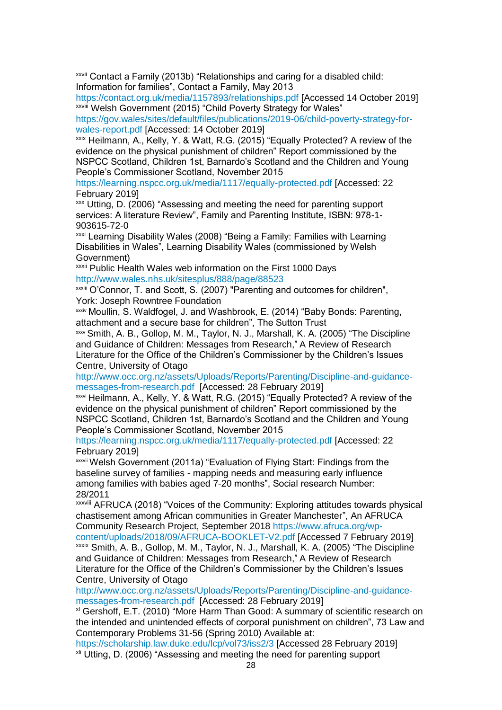**.** xxvii Contact a Family (2013b) "Relationships and caring for a disabled child: Information for families", Contact a Family, May 2013

[https://contact.org.uk/media/1157893/relationships.pdf](https://eur01.safelinks.protection.outlook.com/?url=https%3A%2F%2Fcontact.org.uk%2Fmedia%2F1157893%2Frelationships.pdf&data=02%7C01%7CAdam.Ledger%40gov.wales%7C60ed20edfc004110239408d750b804f0%7Ca2cc36c592804ae78887d06dab89216b%7C0%7C0%7C637066623589370768&sdata=WR%2BsgQoOKocrlK9TgI7S634Bu913T8%2FCR0s7CCCx3Ds%3D&reserved=0) [Accessed 14 October 2019] xxviii Welsh Government (2015) "Child Poverty Strategy for Wales"

[https://gov.wales/sites/default/files/publications/2019-06/child-poverty-strategy-for](https://gov.wales/sites/default/files/publications/2019-06/child-poverty-strategy-for-wales-report.pdf)[wales-report.pdf](https://gov.wales/sites/default/files/publications/2019-06/child-poverty-strategy-for-wales-report.pdf) [Accessed: 14 October 2019]

xxix Heilmann, A., Kelly, Y. & Watt, R.G. (2015) "Equally Protected? A review of the evidence on the physical punishment of children" Report commissioned by the NSPCC Scotland, Children 1st, Barnardo's Scotland and the Children and Young People's Commissioner Scotland, November 2015

<https://learning.nspcc.org.uk/media/1117/equally-protected.pdf> [Accessed: 22 February 2019]

xxx Utting, D. (2006) "Assessing and meeting the need for parenting support services: A literature Review", Family and Parenting Institute, ISBN: 978-1- 903615-72-0

xxxi Learning Disability Wales (2008) "Being a Family: Families with Learning Disabilities in Wales", Learning Disability Wales (commissioned by Welsh Government)

xxxii Public Health Wales web information on the First 1000 Days <http://www.wales.nhs.uk/sitesplus/888/page/88523>

xxxiii O'Connor, T. and Scott, S. (2007) "Parenting and outcomes for children", York: Joseph Rowntree Foundation

xxxiv Moullin, S. Waldfogel, J. and Washbrook, E. (2014) "Baby Bonds: Parenting, attachment and a secure base for children", The Sutton Trust

xxxv Smith, A. B., Gollop, M. M., Taylor, N. J., Marshall, K. A. (2005) "The Discipline and Guidance of Children: Messages from Research," A Review of Research Literature for the Office of the Children's Commissioner by the Children's Issues Centre, University of Otago

[http://www.occ.org.nz/assets/Uploads/Reports/Parenting/Discipline-and-guidance](http://www.occ.org.nz/assets/Uploads/Reports/Parenting/Discipline-and-guidance-messages-from-research.pdf)[messages-from-research.pdf](http://www.occ.org.nz/assets/Uploads/Reports/Parenting/Discipline-and-guidance-messages-from-research.pdf) [Accessed: 28 February 2019]

xxxvi Heilmann, A., Kelly, Y. & Watt, R.G. (2015) "Equally Protected? A review of the evidence on the physical punishment of children" Report commissioned by the NSPCC Scotland, Children 1st, Barnardo's Scotland and the Children and Young People's Commissioner Scotland, November 2015

<https://learning.nspcc.org.uk/media/1117/equally-protected.pdf> [Accessed: 22 February 2019]

xxxvii Welsh Government (2011a) "Evaluation of Flying Start: Findings from the baseline survey of families - mapping needs and measuring early influence among families with babies aged 7-20 months", Social research Number: 28/2011

xxxviii AFRUCA (2018) "Voices of the Community: Exploring attitudes towards physical chastisement among African communities in Greater Manchester", An AFRUCA Community Research Project, September 2018 [https://www.afruca.org/wp-](https://www.afruca.org/wp-content/uploads/2018/09/AFRUCA-BOOKLET-V2.pdf)

[content/uploads/2018/09/AFRUCA-BOOKLET-V2.pdf](https://www.afruca.org/wp-content/uploads/2018/09/AFRUCA-BOOKLET-V2.pdf) [Accessed 7 February 2019] xxxix Smith, A. B., Gollop, M. M., Taylor, N. J., Marshall, K. A. (2005) "The Discipline and Guidance of Children: Messages from Research," A Review of Research Literature for the Office of the Children's Commissioner by the Children's Issues Centre, University of Otago

[http://www.occ.org.nz/assets/Uploads/Reports/Parenting/Discipline-and-guidance](http://www.occ.org.nz/assets/Uploads/Reports/Parenting/Discipline-and-guidance-messages-from-research.pdf)[messages-from-research.pdf](http://www.occ.org.nz/assets/Uploads/Reports/Parenting/Discipline-and-guidance-messages-from-research.pdf) [Accessed: 28 February 2019]

xl Gershoff, E.T. (2010) "More Harm Than Good: A summary of scientific research on the intended and unintended effects of corporal punishment on children", 73 Law and Contemporary Problems 31-56 (Spring 2010) Available at:

<https://scholarship.law.duke.edu/lcp/vol73/iss2/3> [Accessed 28 February 2019] xli Utting, D. (2006) "Assessing and meeting the need for parenting support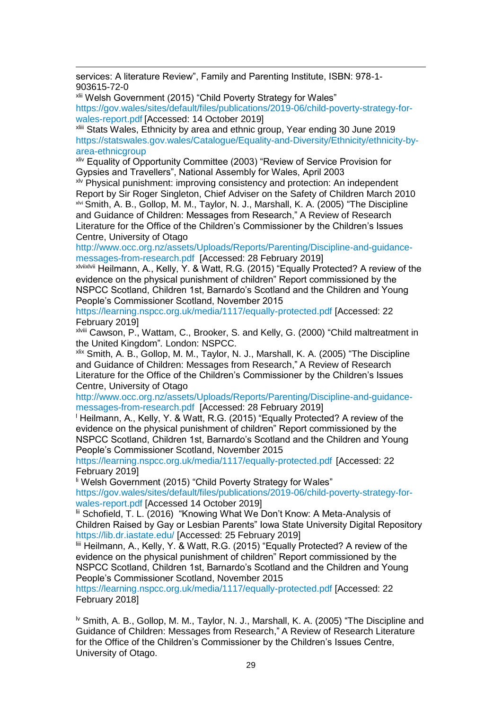**.** services: A literature Review", Family and Parenting Institute, ISBN: 978-1- 903615-72-0

xlii Welsh Government (2015) "Child Poverty Strategy for Wales" [https://gov.wales/sites/default/files/publications/2019-06/child-poverty-strategy-for](https://gov.wales/sites/default/files/publications/2019-06/child-poverty-strategy-for-wales-report.pdf)[wales-report.pdf](https://gov.wales/sites/default/files/publications/2019-06/child-poverty-strategy-for-wales-report.pdf) [Accessed: 14 October 2019]

xliii Stats Wales, Ethnicity by area and ethnic group, Year ending 30 June 2019 [https://statswales.gov.wales/Catalogue/Equality-and-Diversity/Ethnicity/ethnicity-by](https://statswales.gov.wales/Catalogue/Equality-and-Diversity/Ethnicity/ethnicity-by-area-ethnicgroup)[area-ethnicgroup](https://statswales.gov.wales/Catalogue/Equality-and-Diversity/Ethnicity/ethnicity-by-area-ethnicgroup)

xliv Equality of Opportunity Committee (2003) "Review of Service Provision for Gypsies and Travellers", National Assembly for Wales, April 2003

xlv Physical punishment: improving consistency and protection: An independent Report by Sir Roger Singleton, Chief Adviser on the Safety of Children March 2010 xlvi Smith, A. B., Gollop, M. M., Taylor, N. J., Marshall, K. A. (2005) "The Discipline and Guidance of Children: Messages from Research," A Review of Research Literature for the Office of the Children's Commissioner by the Children's Issues Centre, University of Otago

[http://www.occ.org.nz/assets/Uploads/Reports/Parenting/Discipline-and-guidance](http://www.occ.org.nz/assets/Uploads/Reports/Parenting/Discipline-and-guidance-messages-from-research.pdf)[messages-from-research.pdf](http://www.occ.org.nz/assets/Uploads/Reports/Parenting/Discipline-and-guidance-messages-from-research.pdf) [Accessed: 28 February 2019]

xlviixlvii Heilmann, A., Kelly, Y. & Watt, R.G. (2015) "Equally Protected? A review of the evidence on the physical punishment of children" Report commissioned by the NSPCC Scotland, Children 1st, Barnardo's Scotland and the Children and Young People's Commissioner Scotland, November 2015

<https://learning.nspcc.org.uk/media/1117/equally-protected.pdf> [Accessed: 22 February 2019]

xlviii Cawson, P., Wattam, C., Brooker, S. and Kelly, G. (2000) "Child maltreatment in the United Kingdom"*.* London: NSPCC.

xlix Smith, A. B., Gollop, M. M., Taylor, N. J., Marshall, K. A. (2005) "The Discipline and Guidance of Children: Messages from Research," A Review of Research Literature for the Office of the Children's Commissioner by the Children's Issues Centre, University of Otago

[http://www.occ.org.nz/assets/Uploads/Reports/Parenting/Discipline-and-guidance](http://www.occ.org.nz/assets/Uploads/Reports/Parenting/Discipline-and-guidance-messages-from-research.pdf)[messages-from-research.pdf](http://www.occ.org.nz/assets/Uploads/Reports/Parenting/Discipline-and-guidance-messages-from-research.pdf) [Accessed: 28 February 2019]

<sup>1</sup> Heilmann, A., Kelly, Y. & Watt, R.G. (2015) "Equally Protected? A review of the evidence on the physical punishment of children" Report commissioned by the NSPCC Scotland, Children 1st, Barnardo's Scotland and the Children and Young People's Commissioner Scotland, November 2015

<https://learning.nspcc.org.uk/media/1117/equally-protected.pdf> [Accessed: 22 February 2019]

<sup>li</sup> Welsh Government (2015) "Child Poverty Strategy for Wales"

[https://gov.wales/sites/default/files/publications/2019-06/child-poverty-strategy-for](https://gov.wales/sites/default/files/publications/2019-06/child-poverty-strategy-for-wales-report.pdf)[wales-report.pdf](https://gov.wales/sites/default/files/publications/2019-06/child-poverty-strategy-for-wales-report.pdf) [Accessed 14 October 2019]

lii Schofield, T. L. (2016) "Knowing What We Don't Know: A Meta-Analysis of Children Raised by Gay or Lesbian Parents" Iowa State University Digital Repository <https://lib.dr.iastate.edu/> [Accessed: 25 February 2019]

liii Heilmann, A., Kelly, Y. & Watt, R.G. (2015) "Equally Protected? A review of the evidence on the physical punishment of children" Report commissioned by the NSPCC Scotland, Children 1st, Barnardo's Scotland and the Children and Young People's Commissioner Scotland, November 2015

<https://learning.nspcc.org.uk/media/1117/equally-protected.pdf> [Accessed: 22 February 2018]

<sup>1</sup> Smith, A. B., Gollop, M. M., Taylor, N. J., Marshall, K. A. (2005) "The Discipline and Guidance of Children: Messages from Research," A Review of Research Literature for the Office of the Children's Commissioner by the Children's Issues Centre, University of Otago.